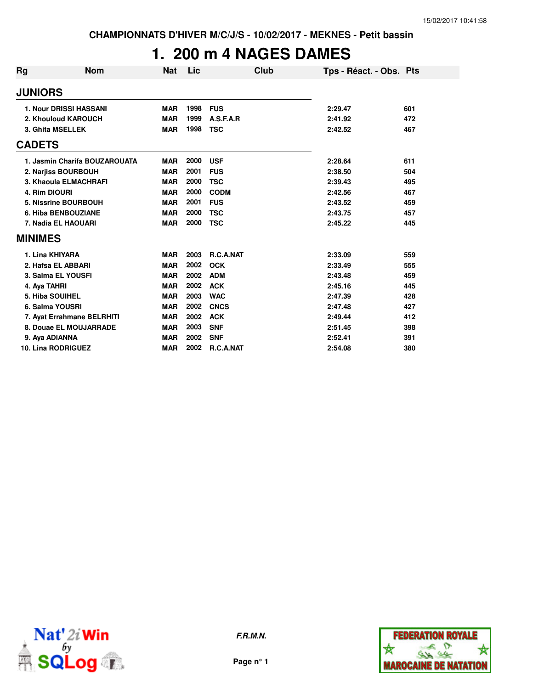# **1. 200 m 4 NAGES DAMES**

| Rg                        | Nom                           | <b>Nat</b> | Lic  |             | Club | Tps - Réact. - Obs. Pts |     |
|---------------------------|-------------------------------|------------|------|-------------|------|-------------------------|-----|
| <b>JUNIORS</b>            |                               |            |      |             |      |                         |     |
|                           | <b>1. Nour DRISSI HASSANI</b> | <b>MAR</b> | 1998 | <b>FUS</b>  |      | 2:29.47                 | 601 |
|                           | 2. Khouloud KAROUCH           | <b>MAR</b> | 1999 | A.S.F.A.R   |      | 2:41.92                 | 472 |
| 3. Ghita MSELLEK          |                               | <b>MAR</b> | 1998 | <b>TSC</b>  |      | 2:42.52                 | 467 |
| <b>CADETS</b>             |                               |            |      |             |      |                         |     |
|                           | 1. Jasmin Charifa BOUZAROUATA | <b>MAR</b> | 2000 | <b>USF</b>  |      | 2:28.64                 | 611 |
|                           | 2. Narjiss BOURBOUH           | <b>MAR</b> | 2001 | <b>FUS</b>  |      | 2:38.50                 | 504 |
|                           | 3. Khaoula ELMACHRAFI         | <b>MAR</b> | 2000 | <b>TSC</b>  |      | 2:39.43                 | 495 |
| 4. Rim DIOURI             |                               | <b>MAR</b> | 2000 | <b>CODM</b> |      | 2:42.56                 | 467 |
|                           | 5. Nissrine BOURBOUH          | <b>MAR</b> | 2001 | <b>FUS</b>  |      | 2:43.52                 | 459 |
|                           | 6. Hiba BENBOUZIANE           | <b>MAR</b> | 2000 | <b>TSC</b>  |      | 2:43.75                 | 457 |
|                           | 7. Nadia EL HAOUARI           | <b>MAR</b> | 2000 | <b>TSC</b>  |      | 2:45.22                 | 445 |
| <b>MINIMES</b>            |                               |            |      |             |      |                         |     |
| 1. Lina KHIYARA           |                               | <b>MAR</b> | 2003 | R.C.A.NAT   |      | 2:33.09                 | 559 |
|                           | 2. Hafsa EL ABBARI            | <b>MAR</b> | 2002 | <b>OCK</b>  |      | 2:33.49                 | 555 |
|                           | 3. Salma EL YOUSFI            | <b>MAR</b> | 2002 | <b>ADM</b>  |      | 2:43.48                 | 459 |
| 4. Aya TAHRI              |                               | <b>MAR</b> | 2002 | <b>ACK</b>  |      | 2:45.16                 | 445 |
| 5. Hiba SOUIHEL           |                               | <b>MAR</b> | 2003 | <b>WAC</b>  |      | 2:47.39                 | 428 |
| 6. Salma YOUSRI           |                               | <b>MAR</b> | 2002 | <b>CNCS</b> |      | 2:47.48                 | 427 |
|                           | 7. Ayat Errahmane BELRHITI    | <b>MAR</b> | 2002 | <b>ACK</b>  |      | 2:49.44                 | 412 |
|                           | 8. Douae EL MOUJARRADE        | <b>MAR</b> | 2003 | <b>SNF</b>  |      | 2:51.45                 | 398 |
| 9. Aya ADIANNA            |                               | <b>MAR</b> | 2002 | <b>SNF</b>  |      | 2:52.41                 | 391 |
| <b>10. Lina RODRIGUEZ</b> |                               | <b>MAR</b> | 2002 | R.C.A.NAT   |      | 2:54.08                 | 380 |



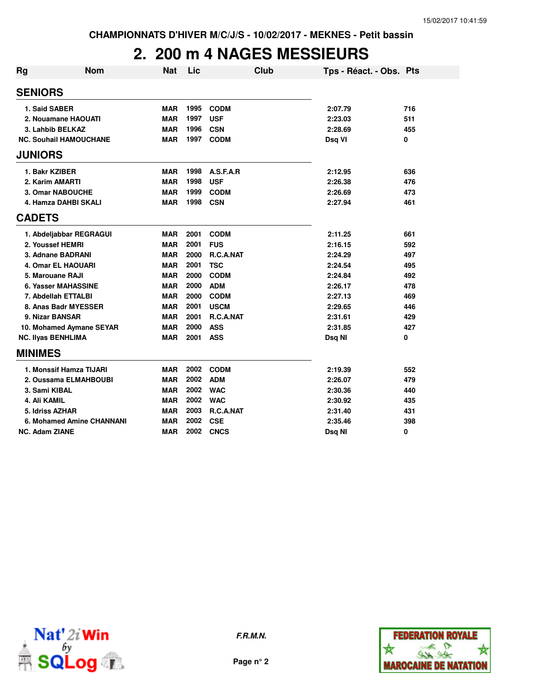# **2. 200 m 4 NAGES MESSIEURS**

| Rg                        | Nom                           | <b>Nat</b> | Lic  |             | Club | Tps - Réact. - Obs. Pts |     |
|---------------------------|-------------------------------|------------|------|-------------|------|-------------------------|-----|
| <b>SENIORS</b>            |                               |            |      |             |      |                         |     |
| 1. Said SABER             |                               | <b>MAR</b> | 1995 | <b>CODM</b> |      | 2:07.79                 | 716 |
|                           | 2. Nouamane HAOUATI           | <b>MAR</b> | 1997 | <b>USF</b>  |      | 2:23.03                 | 511 |
| 3. Lahbib BELKAZ          |                               | <b>MAR</b> | 1996 | <b>CSN</b>  |      | 2:28.69                 | 455 |
|                           | <b>NC. Souhail HAMOUCHANE</b> | <b>MAR</b> | 1997 | <b>CODM</b> |      | Dsq VI                  | 0   |
| <b>JUNIORS</b>            |                               |            |      |             |      |                         |     |
| 1. Bakr KZIBER            |                               | <b>MAR</b> | 1998 | A.S.F.A.R   |      | 2:12.95                 | 636 |
| 2. Karim AMARTI           |                               | <b>MAR</b> | 1998 | <b>USF</b>  |      | 2:26.38                 | 476 |
|                           | <b>3. Omar NABOUCHE</b>       | <b>MAR</b> | 1999 | <b>CODM</b> |      | 2:26.69                 | 473 |
|                           | 4. Hamza DAHBI SKALI          | <b>MAR</b> | 1998 | <b>CSN</b>  |      | 2:27.94                 | 461 |
| <b>CADETS</b>             |                               |            |      |             |      |                         |     |
|                           | 1. Abdeljabbar REGRAGUI       | <b>MAR</b> | 2001 | <b>CODM</b> |      | 2:11.25                 | 661 |
| 2. Youssef HEMRI          |                               | <b>MAR</b> | 2001 | <b>FUS</b>  |      | 2:16.15                 | 592 |
|                           | 3. Adnane BADRANI             | <b>MAR</b> | 2000 | R.C.A.NAT   |      | 2:24.29                 | 497 |
|                           | <b>4. Omar EL HAOUARI</b>     | <b>MAR</b> | 2001 | <b>TSC</b>  |      | 2:24.54                 | 495 |
| 5. Marouane RAJI          |                               | <b>MAR</b> | 2000 | <b>CODM</b> |      | 2:24.84                 | 492 |
|                           | 6. Yasser MAHASSINE           | <b>MAR</b> | 2000 | <b>ADM</b>  |      | 2:26.17                 | 478 |
|                           | 7. Abdellah ETTALBI           | <b>MAR</b> | 2000 | <b>CODM</b> |      | 2:27.13                 | 469 |
|                           | 8. Anas Badr MYESSER          | <b>MAR</b> | 2001 | <b>USCM</b> |      | 2:29.65                 | 446 |
| 9. Nizar BANSAR           |                               | <b>MAR</b> | 2001 | R.C.A.NAT   |      | 2:31.61                 | 429 |
|                           | 10. Mohamed Aymane SEYAR      | <b>MAR</b> | 2000 | <b>ASS</b>  |      | 2:31.85                 | 427 |
| <b>NC. Ilyas BENHLIMA</b> |                               | <b>MAR</b> | 2001 | <b>ASS</b>  |      | Dsq NI                  | 0   |
| <b>MINIMES</b>            |                               |            |      |             |      |                         |     |
|                           | 1. Monssif Hamza TIJARI       | <b>MAR</b> | 2002 | <b>CODM</b> |      | 2:19.39                 | 552 |
|                           | 2. Oussama ELMAHBOUBI         | <b>MAR</b> | 2002 | <b>ADM</b>  |      | 2:26.07                 | 479 |
| 3. Sami KIBAL             |                               | <b>MAR</b> | 2002 | <b>WAC</b>  |      | 2:30.36                 | 440 |
| 4. Ali KAMIL              |                               | <b>MAR</b> | 2002 | <b>WAC</b>  |      | 2:30.92                 | 435 |
| 5. Idriss AZHAR           |                               | <b>MAR</b> | 2003 | R.C.A.NAT   |      | 2:31.40                 | 431 |
|                           | 6. Mohamed Amine CHANNANI     | <b>MAR</b> | 2002 | <b>CSE</b>  |      | 2:35.46                 | 398 |
| <b>NC. Adam ZIANE</b>     |                               | <b>MAR</b> | 2002 | <b>CNCS</b> |      | Dsq NI                  | 0   |



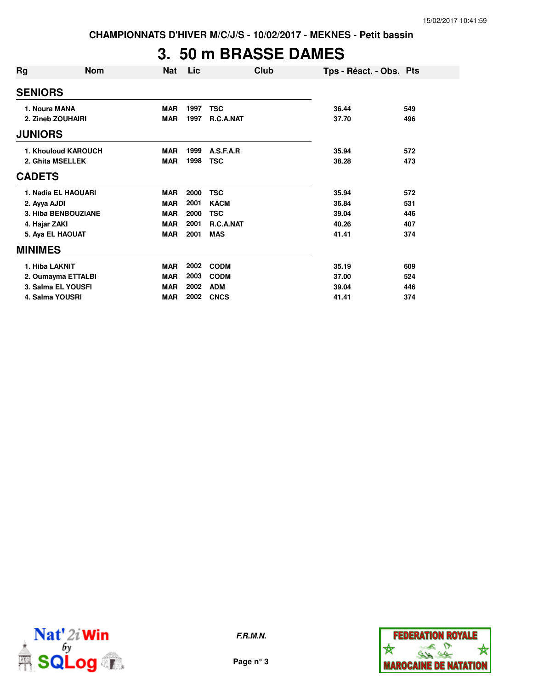### **3. 50 m BRASSE DAMES**

| Rg                | <b>Nom</b>          | <b>Nat</b> | Lic  |             | Club | Tps - Réact. - Obs. Pts |     |
|-------------------|---------------------|------------|------|-------------|------|-------------------------|-----|
| <b>SENIORS</b>    |                     |            |      |             |      |                         |     |
| 1. Noura MANA     |                     | <b>MAR</b> | 1997 | <b>TSC</b>  |      | 36.44                   | 549 |
| 2. Zineb ZOUHAIRI |                     | <b>MAR</b> | 1997 | R.C.A.NAT   |      | 37.70                   | 496 |
| <b>JUNIORS</b>    |                     |            |      |             |      |                         |     |
|                   | 1. Khouloud KAROUCH | <b>MAR</b> | 1999 | A.S.F.A.R   |      | 35.94                   | 572 |
|                   | 2. Ghita MSELLEK    | <b>MAR</b> | 1998 | <b>TSC</b>  |      | 38.28                   | 473 |
| <b>CADETS</b>     |                     |            |      |             |      |                         |     |
|                   | 1. Nadia EL HAOUARI | <b>MAR</b> | 2000 | <b>TSC</b>  |      | 35.94                   | 572 |
| 2. Ayya AJDI      |                     | <b>MAR</b> | 2001 | <b>KACM</b> |      | 36.84                   | 531 |
|                   | 3. Hiba BENBOUZIANE | <b>MAR</b> | 2000 | <b>TSC</b>  |      | 39.04                   | 446 |
| 4. Hajar ZAKI     |                     | <b>MAR</b> | 2001 | R.C.A.NAT   |      | 40.26                   | 407 |
|                   | 5. Aya EL HAOUAT    | <b>MAR</b> | 2001 | <b>MAS</b>  |      | 41.41                   | 374 |
| <b>MINIMES</b>    |                     |            |      |             |      |                         |     |
| 1. Hiba LAKNIT    |                     | <b>MAR</b> | 2002 | <b>CODM</b> |      | 35.19                   | 609 |
|                   | 2. Oumayma ETTALBI  | <b>MAR</b> | 2003 | <b>CODM</b> |      | 37.00                   | 524 |
|                   | 3. Salma EL YOUSFI  | <b>MAR</b> | 2002 | <b>ADM</b>  |      | 39.04                   | 446 |
|                   | 4. Salma YOUSRI     | <b>MAR</b> | 2002 | <b>CNCS</b> |      | 41.41                   | 374 |



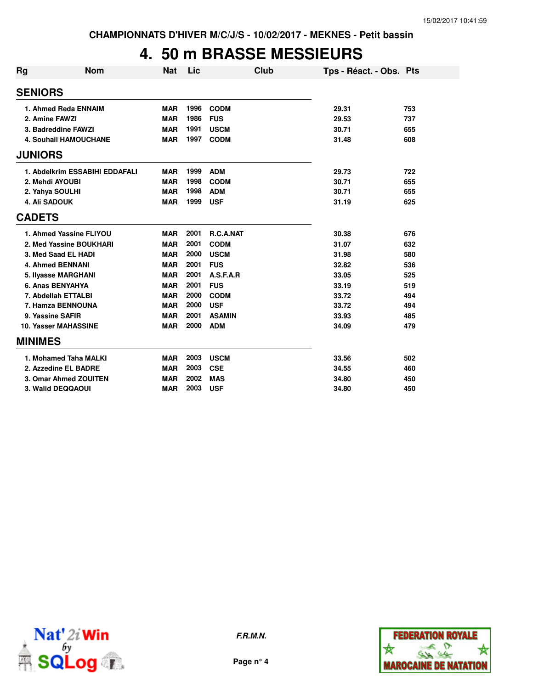# **4. 50 m BRASSE MESSIEURS**

| Rg | <b>Nom</b>                     | <b>Nat</b> | Lic  |               | Club | Tps - Réact. - Obs. Pts |     |
|----|--------------------------------|------------|------|---------------|------|-------------------------|-----|
|    | <b>SENIORS</b>                 |            |      |               |      |                         |     |
|    | 1. Ahmed Reda ENNAIM           | <b>MAR</b> | 1996 | <b>CODM</b>   |      | 29.31                   | 753 |
|    | 2. Amine FAWZI                 | <b>MAR</b> | 1986 | <b>FUS</b>    |      | 29.53                   | 737 |
|    | 3. Badreddine FAWZI            | <b>MAR</b> | 1991 | <b>USCM</b>   |      | 30.71                   | 655 |
|    | <b>4. Souhail HAMOUCHANE</b>   | <b>MAR</b> | 1997 | <b>CODM</b>   |      | 31.48                   | 608 |
|    | <b>JUNIORS</b>                 |            |      |               |      |                         |     |
|    | 1. Abdelkrim ESSABIHI EDDAFALI | <b>MAR</b> | 1999 | <b>ADM</b>    |      | 29.73                   | 722 |
|    | 2. Mehdi AYOUBI                | <b>MAR</b> | 1998 | <b>CODM</b>   |      | 30.71                   | 655 |
|    | 2. Yahya SOULHI                | <b>MAR</b> | 1998 | <b>ADM</b>    |      | 30.71                   | 655 |
|    | <b>4. Ali SADOUK</b>           | <b>MAR</b> | 1999 | <b>USF</b>    |      | 31.19                   | 625 |
|    | <b>CADETS</b>                  |            |      |               |      |                         |     |
|    | 1. Ahmed Yassine FLIYOU        | <b>MAR</b> | 2001 | R.C.A.NAT     |      | 30.38                   | 676 |
|    | 2. Med Yassine BOUKHARI        | <b>MAR</b> | 2001 | <b>CODM</b>   |      | 31.07                   | 632 |
|    | 3. Med Saad EL HADI            | <b>MAR</b> | 2000 | <b>USCM</b>   |      | 31.98                   | 580 |
|    | <b>4. Ahmed BENNANI</b>        | <b>MAR</b> | 2001 | <b>FUS</b>    |      | 32.82                   | 536 |
|    | 5. Ilyasse MARGHANI            | <b>MAR</b> | 2001 | A.S.F.A.R     |      | 33.05                   | 525 |
|    | 6. Anas BENYAHYA               | <b>MAR</b> | 2001 | <b>FUS</b>    |      | 33.19                   | 519 |
|    | 7. Abdellah ETTALBI            | <b>MAR</b> | 2000 | <b>CODM</b>   |      | 33.72                   | 494 |
|    | 7. Hamza BENNOUNA              | <b>MAR</b> | 2000 | <b>USF</b>    |      | 33.72                   | 494 |
|    | 9. Yassine SAFIR               | <b>MAR</b> | 2001 | <b>ASAMIN</b> |      | 33.93                   | 485 |
|    | <b>10. Yasser MAHASSINE</b>    | <b>MAR</b> | 2000 | <b>ADM</b>    |      | 34.09                   | 479 |
|    | <b>MINIMES</b>                 |            |      |               |      |                         |     |
|    | 1. Mohamed Taha MALKI          | <b>MAR</b> | 2003 | <b>USCM</b>   |      | 33.56                   | 502 |
|    | 2. Azzedine EL BADRE           | <b>MAR</b> | 2003 | <b>CSE</b>    |      | 34.55                   | 460 |
|    | 3. Omar Ahmed ZOUITEN          | <b>MAR</b> | 2002 | <b>MAS</b>    |      | 34.80                   | 450 |
|    | 3. Walid DEQQAOUI              | <b>MAR</b> | 2003 | <b>USF</b>    |      | 34.80                   | 450 |



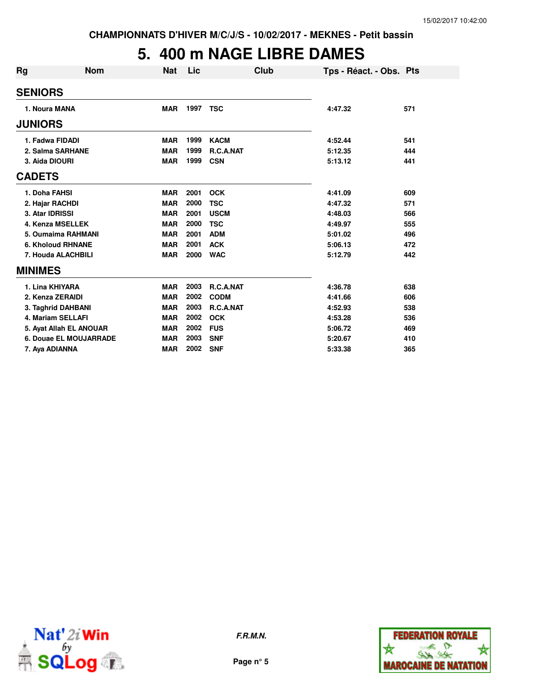# **5. 400 m NAGE LIBRE DAMES**

| Rg                       | Nom                     | Nat        | Lic  | Club        | Tps - Réact. - Obs. Pts |     |
|--------------------------|-------------------------|------------|------|-------------|-------------------------|-----|
| <b>SENIORS</b>           |                         |            |      |             |                         |     |
| 1. Noura MANA            |                         | <b>MAR</b> | 1997 | <b>TSC</b>  | 4:47.32                 | 571 |
| <b>JUNIORS</b>           |                         |            |      |             |                         |     |
| 1. Fadwa FIDADI          |                         | <b>MAR</b> | 1999 | <b>KACM</b> | 4:52.44                 | 541 |
| 2. Salma SARHANE         |                         | <b>MAR</b> | 1999 | R.C.A.NAT   | 5:12.35                 | 444 |
| 3. Aida DIOURI           |                         | <b>MAR</b> | 1999 | <b>CSN</b>  | 5:13.12                 | 441 |
| <b>CADETS</b>            |                         |            |      |             |                         |     |
| 1. Doha FAHSI            |                         | <b>MAR</b> | 2001 | <b>OCK</b>  | 4:41.09                 | 609 |
| 2. Hajar RACHDI          |                         | <b>MAR</b> | 2000 | <b>TSC</b>  | 4:47.32                 | 571 |
| 3. Atar IDRISSI          |                         | <b>MAR</b> | 2001 | <b>USCM</b> | 4:48.03                 | 566 |
| 4. Kenza MSELLEK         |                         | <b>MAR</b> | 2000 | <b>TSC</b>  | 4:49.97                 | 555 |
|                          | 5. Oumaima RAHMANI      | <b>MAR</b> | 2001 | <b>ADM</b>  | 5:01.02                 | 496 |
| <b>6. Kholoud RHNANE</b> |                         | <b>MAR</b> | 2001 | <b>ACK</b>  | 5:06.13                 | 472 |
| 7. Houda ALACHBILI       |                         | <b>MAR</b> | 2000 | <b>WAC</b>  | 5:12.79                 | 442 |
| <b>MINIMES</b>           |                         |            |      |             |                         |     |
| 1. Lina KHIYARA          |                         | <b>MAR</b> | 2003 | R.C.A.NAT   | 4:36.78                 | 638 |
| 2. Kenza ZERAIDI         |                         | <b>MAR</b> | 2002 | <b>CODM</b> | 4:41.66                 | 606 |
| 3. Taghrid DAHBANI       |                         | <b>MAR</b> | 2003 | R.C.A.NAT   | 4:52.93                 | 538 |
| <b>4. Mariam SELLAFI</b> |                         | <b>MAR</b> | 2002 | <b>OCK</b>  | 4:53.28                 | 536 |
|                          | 5. Ayat Allah EL ANOUAR | <b>MAR</b> | 2002 | <b>FUS</b>  | 5:06.72                 | 469 |
|                          | 6. Douae EL MOUJARRADE  | <b>MAR</b> | 2003 | <b>SNF</b>  | 5:20.67                 | 410 |
| 7. Aya ADIANNA           |                         | <b>MAR</b> | 2002 | <b>SNF</b>  | 5:33.38                 | 365 |



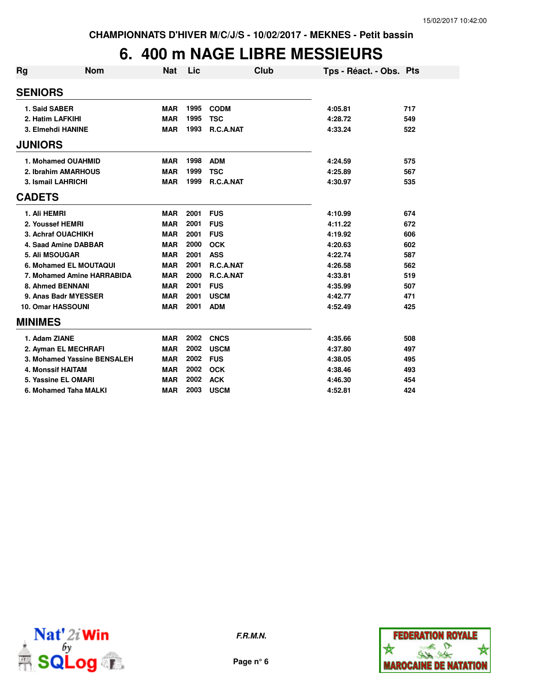# **6. 400 m NAGE LIBRE MESSIEURS**

| Rg                        | <b>Nom</b>                  | <b>Nat</b> | Lic  |             | Club | Tps - Réact. - Obs. Pts |     |
|---------------------------|-----------------------------|------------|------|-------------|------|-------------------------|-----|
| <b>SENIORS</b>            |                             |            |      |             |      |                         |     |
| 1. Said SABER             |                             | <b>MAR</b> | 1995 | <b>CODM</b> |      | 4:05.81                 | 717 |
| 2. Hatim LAFKIHI          |                             | <b>MAR</b> | 1995 | <b>TSC</b>  |      | 4:28.72                 | 549 |
|                           | 3. Elmehdi HANINE           | <b>MAR</b> | 1993 | R.C.A.NAT   |      | 4:33.24                 | 522 |
| <b>JUNIORS</b>            |                             |            |      |             |      |                         |     |
|                           | 1. Mohamed OUAHMID          | <b>MAR</b> | 1998 | <b>ADM</b>  |      | 4:24.59                 | 575 |
|                           | 2. Ibrahim AMARHOUS         | <b>MAR</b> | 1999 | <b>TSC</b>  |      | 4:25.89                 | 567 |
| <b>3. Ismail LAHRICHI</b> |                             | <b>MAR</b> | 1999 | R.C.A.NAT   |      | 4:30.97                 | 535 |
| <b>CADETS</b>             |                             |            |      |             |      |                         |     |
| 1. Ali HEMRI              |                             | <b>MAR</b> | 2001 | <b>FUS</b>  |      | 4:10.99                 | 674 |
| 2. Youssef HEMRI          |                             | <b>MAR</b> | 2001 | <b>FUS</b>  |      | 4:11.22                 | 672 |
|                           | 3. Achraf OUACHIKH          | <b>MAR</b> | 2001 | <b>FUS</b>  |      | 4:19.92                 | 606 |
|                           | 4. Saad Amine DABBAR        | <b>MAR</b> | 2000 | <b>OCK</b>  |      | 4:20.63                 | 602 |
| 5. Ali MSOUGAR            |                             | <b>MAR</b> | 2001 | <b>ASS</b>  |      | 4:22.74                 | 587 |
|                           | 6. Mohamed EL MOUTAQUI      | <b>MAR</b> | 2001 | R.C.A.NAT   |      | 4:26.58                 | 562 |
|                           | 7. Mohamed Amine HARRABIDA  | <b>MAR</b> | 2000 | R.C.A.NAT   |      | 4:33.81                 | 519 |
|                           | 8. Ahmed BENNANI            | <b>MAR</b> | 2001 | <b>FUS</b>  |      | 4:35.99                 | 507 |
|                           | 9. Anas Badr MYESSER        | <b>MAR</b> | 2001 | <b>USCM</b> |      | 4:42.77                 | 471 |
| <b>10. Omar HASSOUNI</b>  |                             | <b>MAR</b> | 2001 | <b>ADM</b>  |      | 4:52.49                 | 425 |
| <b>MINIMES</b>            |                             |            |      |             |      |                         |     |
| 1. Adam ZIANE             |                             | <b>MAR</b> | 2002 | <b>CNCS</b> |      | 4:35.66                 | 508 |
|                           | 2. Ayman EL MECHRAFI        | <b>MAR</b> | 2002 | <b>USCM</b> |      | 4:37.80                 | 497 |
|                           | 3. Mohamed Yassine BENSALEH | <b>MAR</b> | 2002 | <b>FUS</b>  |      | 4:38.05                 | 495 |
| <b>4. Monssif HAITAM</b>  |                             | <b>MAR</b> | 2002 | <b>OCK</b>  |      | 4:38.46                 | 493 |
|                           | 5. Yassine EL OMARI         | <b>MAR</b> | 2002 | <b>ACK</b>  |      | 4:46.30                 | 454 |
|                           | 6. Mohamed Taha MALKI       | <b>MAR</b> | 2003 | <b>USCM</b> |      | 4:52.81                 | 424 |



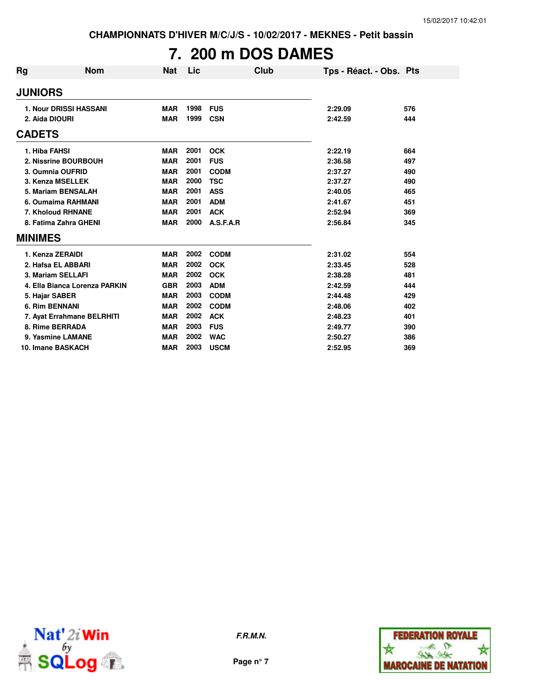### **7. 200 m DOS DAMES**

| <b>Rg</b>        | <b>Nom</b>                    | Nat        | Lic  | Club        | Tps - Réact. - Obs. Pts |     |
|------------------|-------------------------------|------------|------|-------------|-------------------------|-----|
| <b>JUNIORS</b>   |                               |            |      |             |                         |     |
|                  | <b>1. Nour DRISSI HASSANI</b> | <b>MAR</b> | 1998 | <b>FUS</b>  | 2:29.09                 | 576 |
| 2. Aida DIOURI   |                               | <b>MAR</b> | 1999 | <b>CSN</b>  | 2:42.59                 | 444 |
| <b>CADETS</b>    |                               |            |      |             |                         |     |
| 1. Hiba FAHSI    |                               | <b>MAR</b> | 2001 | <b>OCK</b>  | 2:22.19                 | 664 |
|                  | 2. Nissrine BOURBOUH          | <b>MAR</b> | 2001 | <b>FUS</b>  | 2:36.58                 | 497 |
|                  | 3. Oumnia OUFRID              | <b>MAR</b> | 2001 | <b>CODM</b> | 2:37.27                 | 490 |
|                  | 3. Kenza MSELLEK              | <b>MAR</b> | 2000 | <b>TSC</b>  | 2:37.27                 | 490 |
|                  | 5. Mariam BENSALAH            | <b>MAR</b> | 2001 | <b>ASS</b>  | 2:40.05                 | 465 |
|                  | 6. Oumaima RAHMANI            | <b>MAR</b> | 2001 | <b>ADM</b>  | 2:41.67                 | 451 |
|                  | 7. Kholoud RHNANE             | <b>MAR</b> | 2001 | <b>ACK</b>  | 2:52.94                 | 369 |
|                  | 8. Fatima Zahra GHENI         | <b>MAR</b> | 2000 | A.S.F.A.R   | 2:56.84                 | 345 |
| <b>MINIMES</b>   |                               |            |      |             |                         |     |
| 1. Kenza ZERAIDI |                               | <b>MAR</b> | 2002 | <b>CODM</b> | 2:31.02                 | 554 |
|                  | 2. Hafsa EL ABBARI            | <b>MAR</b> | 2002 | <b>OCK</b>  | 2:33.45                 | 528 |
|                  | 3. Mariam SELLAFI             | <b>MAR</b> | 2002 | <b>OCK</b>  | 2:38.28                 | 481 |
|                  | 4. Ella Bianca Lorenza PARKIN | <b>GBR</b> | 2003 | <b>ADM</b>  | 2:42.59                 | 444 |
| 5. Hajar SABER   |                               | <b>MAR</b> | 2003 | <b>CODM</b> | 2:44.48                 | 429 |
| 6. Rim BENNANI   |                               | <b>MAR</b> | 2002 | <b>CODM</b> | 2:48.06                 | 402 |
|                  | 7. Ayat Errahmane BELRHITI    | <b>MAR</b> | 2002 | <b>ACK</b>  | 2:48.23                 | 401 |
|                  | 8. Rime BERRADA               | <b>MAR</b> | 2003 | <b>FUS</b>  | 2:49.77                 | 390 |
|                  | 9. Yasmine LAMANE             | <b>MAR</b> | 2002 | <b>WAC</b>  | 2:50.27                 | 386 |
|                  | 10. Imane BASKACH             | <b>MAR</b> | 2003 | <b>USCM</b> | 2:52.95                 | 369 |



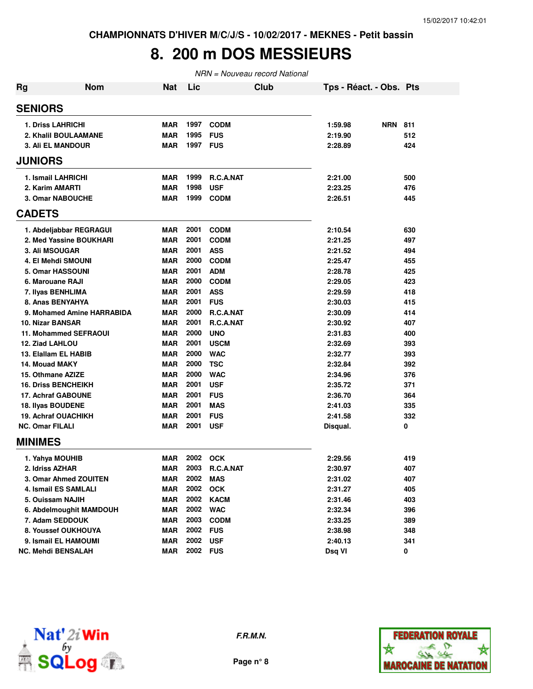### **8. 200 m DOS MESSIEURS**

| <b>Rg</b> | <b>Nom</b>                   | Nat        | Lic      |                  | Club | Tps - Réact. - Obs. Pts |                |     |
|-----------|------------------------------|------------|----------|------------------|------|-------------------------|----------------|-----|
|           | <b>SENIORS</b>               |            |          |                  |      |                         |                |     |
|           | <b>1. Driss LAHRICHI</b>     | MAR        | 1997     | <b>CODM</b>      |      | 1:59.98                 | <b>NRN 811</b> |     |
|           | 2. Khalil BOULAAMANE         | <b>MAR</b> | 1995     | <b>FUS</b>       |      | 2:19.90                 |                | 512 |
|           | <b>3. Ali EL MANDOUR</b>     | <b>MAR</b> | 1997 FUS |                  |      | 2:28.89                 |                | 424 |
|           | <b>JUNIORS</b>               |            |          |                  |      |                         |                |     |
|           | 1. Ismail LAHRICHI           | <b>MAR</b> | 1999     | <b>R.C.A.NAT</b> |      | 2:21.00                 |                | 500 |
|           | 2. Karim AMARTI              | <b>MAR</b> | 1998     | <b>USF</b>       |      | 2:23.25                 |                | 476 |
|           | 3. Omar NABOUCHE             | <b>MAR</b> | 1999     | <b>CODM</b>      |      | 2:26.51                 |                | 445 |
|           | <b>CADETS</b>                |            |          |                  |      |                         |                |     |
|           | 1. Abdeljabbar REGRAGUI      | MAR        | 2001     | <b>CODM</b>      |      | 2:10.54                 |                | 630 |
|           | 2. Med Yassine BOUKHARI      | <b>MAR</b> | 2001     | <b>CODM</b>      |      | 2:21.25                 |                | 497 |
|           | <b>3. Ali MSOUGAR</b>        | <b>MAR</b> | 2001     | <b>ASS</b>       |      | 2:21.52                 |                | 494 |
|           | 4. El Mehdi SMOUNI           | <b>MAR</b> | 2000     | <b>CODM</b>      |      | 2:25.47                 |                | 455 |
|           | <b>5. Omar HASSOUNI</b>      | <b>MAR</b> | 2001     | <b>ADM</b>       |      | 2:28.78                 |                | 425 |
|           | 6. Marouane RAJI             | <b>MAR</b> | 2000     | <b>CODM</b>      |      | 2:29.05                 |                | 423 |
|           | 7. Ilyas BENHLIMA            | <b>MAR</b> | 2001     | <b>ASS</b>       |      | 2:29.59                 |                | 418 |
|           | 8. Anas BENYAHYA             | <b>MAR</b> | 2001     | <b>FUS</b>       |      | 2:30.03                 |                | 415 |
|           | 9. Mohamed Amine HARRABIDA   | <b>MAR</b> | 2000     | R.C.A.NAT        |      | 2:30.09                 |                | 414 |
|           | 10. Nizar BANSAR             | <b>MAR</b> | 2001     | R.C.A.NAT        |      | 2:30.92                 |                | 407 |
|           | <b>11. Mohammed SEFRAOUI</b> | <b>MAR</b> | 2000     | <b>UNO</b>       |      | 2:31.83                 |                | 400 |
|           | 12. Ziad LAHLOU              | <b>MAR</b> | 2001     | <b>USCM</b>      |      | 2:32.69                 |                | 393 |
|           | 13. Elallam EL HABIB         | <b>MAR</b> | 2000     | <b>WAC</b>       |      | 2:32.77                 |                | 393 |
|           | 14. Mouad MAKY               | <b>MAR</b> | 2000     | <b>TSC</b>       |      | 2:32.84                 |                | 392 |
|           | 15. Othmane AZIZE            | <b>MAR</b> | 2000     | <b>WAC</b>       |      | 2:34.96                 |                | 376 |
|           | <b>16. Driss BENCHEIKH</b>   | <b>MAR</b> | 2001     | <b>USF</b>       |      | 2:35.72                 |                | 371 |
|           | <b>17. Achraf GABOUNE</b>    | <b>MAR</b> | 2001     | <b>FUS</b>       |      | 2:36.70                 |                | 364 |
|           | 18. Ilyas BOUDENE            | <b>MAR</b> | 2001     | <b>MAS</b>       |      | 2:41.03                 |                | 335 |
|           | <b>19. Achraf OUACHIKH</b>   | MAR        | 2001     | <b>FUS</b>       |      | 2:41.58                 |                | 332 |
|           | <b>NC. Omar FILALI</b>       | MAR        | 2001     | <b>USF</b>       |      | Disqual.                |                | 0   |
|           | <b>MINIMES</b>               |            |          |                  |      |                         |                |     |
|           | 1. Yahya MOUHIB              | <b>MAR</b> | 2002     | <b>OCK</b>       |      | 2:29.56                 |                | 419 |
|           | 2. Idriss AZHAR              | <b>MAR</b> | 2003     | R.C.A.NAT        |      | 2:30.97                 |                | 407 |
|           | 3. Omar Ahmed ZOUITEN        | MAR        | 2002     | <b>MAS</b>       |      | 2:31.02                 |                | 407 |
|           | 4. Ismail ES SAMLALI         | MAR        | 2002     | <b>OCK</b>       |      | 2:31.27                 |                | 405 |
|           | 5. Ouissam NAJIH             | <b>MAR</b> | 2002     | <b>KACM</b>      |      | 2:31.46                 |                | 403 |
|           | 6. Abdelmoughit MAMDOUH      | <b>MAR</b> | 2002     | <b>WAC</b>       |      | 2:32.34                 |                | 396 |
|           | 7. Adam SEDDOUK              | <b>MAR</b> | 2003     | <b>CODM</b>      |      | 2:33.25                 |                | 389 |
|           | 8. Youssef OUKHOUYA          | <b>MAR</b> | 2002     | <b>FUS</b>       |      | 2:38.98                 |                | 348 |
|           | 9. Ismail EL HAMOUMI         | <b>MAR</b> | 2002     | <b>USF</b>       |      | 2:40.13                 |                | 341 |
|           | <b>NC. Mehdi BENSALAH</b>    | <b>MAR</b> | 2002 FUS |                  |      | Dsq VI                  |                | 0   |



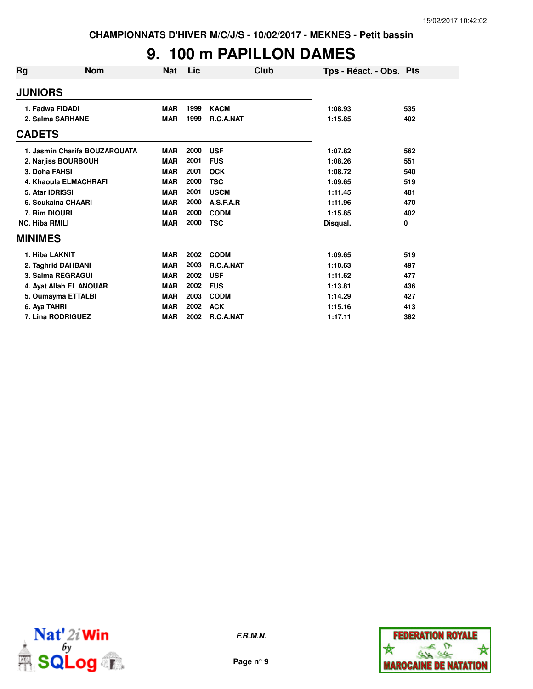### **9. 100 m PAPILLON DAMES**

| <b>Rg</b>             | Nom                           | Nat        | Lic  | Club        | Tps - Réact. - Obs. Pts |     |
|-----------------------|-------------------------------|------------|------|-------------|-------------------------|-----|
| <b>JUNIORS</b>        |                               |            |      |             |                         |     |
| 1. Fadwa FIDADI       |                               | <b>MAR</b> | 1999 | <b>KACM</b> | 1:08.93                 | 535 |
| 2. Salma SARHANE      |                               | <b>MAR</b> | 1999 | R.C.A.NAT   | 1:15.85                 | 402 |
| <b>CADETS</b>         |                               |            |      |             |                         |     |
|                       | 1. Jasmin Charifa BOUZAROUATA | <b>MAR</b> | 2000 | <b>USF</b>  | 1:07.82                 | 562 |
|                       | 2. Narjiss BOURBOUH           | <b>MAR</b> | 2001 | <b>FUS</b>  | 1:08.26                 | 551 |
| 3. Doha FAHSI         |                               | <b>MAR</b> | 2001 | <b>OCK</b>  | 1:08.72                 | 540 |
|                       | 4. Khaoula ELMACHRAFI         | <b>MAR</b> | 2000 | <b>TSC</b>  | 1:09.65                 | 519 |
| 5. Atar IDRISSI       |                               | <b>MAR</b> | 2001 | <b>USCM</b> | 1:11.45                 | 481 |
|                       | 6. Soukaina CHAARI            | <b>MAR</b> | 2000 | A.S.F.A.R   | 1:11.96                 | 470 |
| 7. Rim DIOURI         |                               | <b>MAR</b> | 2000 | <b>CODM</b> | 1:15.85                 | 402 |
| <b>NC. Hiba RMILI</b> |                               | <b>MAR</b> | 2000 | <b>TSC</b>  | 0<br>Disqual.           |     |
| <b>MINIMES</b>        |                               |            |      |             |                         |     |
| 1. Hiba LAKNIT        |                               | <b>MAR</b> | 2002 | <b>CODM</b> | 1:09.65                 | 519 |
|                       | 2. Taghrid DAHBANI            | <b>MAR</b> | 2003 | R.C.A.NAT   | 1:10.63                 | 497 |
|                       | 3. Salma REGRAGUI             | <b>MAR</b> | 2002 | <b>USF</b>  | 1:11.62                 | 477 |
|                       | 4. Ayat Allah EL ANOUAR       | <b>MAR</b> | 2002 | <b>FUS</b>  | 1:13.81                 | 436 |
|                       | 5. Oumayma ETTALBI            | <b>MAR</b> | 2003 | <b>CODM</b> | 1:14.29                 | 427 |
| 6. Aya TAHRI          |                               | <b>MAR</b> | 2002 | <b>ACK</b>  | 1:15.16                 | 413 |
|                       | 7. Lina RODRIGUEZ             | <b>MAR</b> | 2002 | R.C.A.NAT   | 1:17.11                 | 382 |



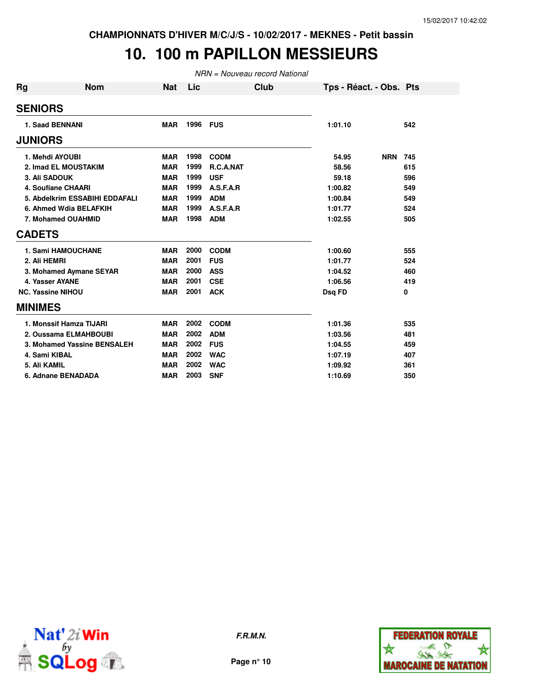### **10. 100 m PAPILLON MESSIEURS**

| <b>Rg</b>      | <b>Nom</b>                     | <b>Nat</b> | Lic  | Club        |         | Tps - Réact. - Obs. Pts |     |
|----------------|--------------------------------|------------|------|-------------|---------|-------------------------|-----|
| <b>SENIORS</b> |                                |            |      |             |         |                         |     |
|                | 1. Saad BENNANI                | <b>MAR</b> | 1996 | <b>FUS</b>  | 1:01.10 |                         | 542 |
| <b>JUNIORS</b> |                                |            |      |             |         |                         |     |
|                | 1. Mehdi AYOUBI                | <b>MAR</b> | 1998 | <b>CODM</b> | 54.95   | <b>NRN</b>              | 745 |
|                | 2. Imad EL MOUSTAKIM           | <b>MAR</b> | 1999 | R.C.A.NAT   | 58.56   |                         | 615 |
|                | 3. Ali SADOUK                  | <b>MAR</b> | 1999 | <b>USF</b>  | 59.18   |                         | 596 |
|                | <b>4. Soufiane CHAARI</b>      | <b>MAR</b> | 1999 | A.S.F.A.R   | 1:00.82 |                         | 549 |
|                | 5. Abdelkrim ESSABIHI EDDAFALI | <b>MAR</b> | 1999 | <b>ADM</b>  | 1:00.84 |                         | 549 |
|                | 6. Ahmed Wdia BELAFKIH         | <b>MAR</b> | 1999 | A.S.F.A.R   | 1:01.77 |                         | 524 |
|                | 7. Mohamed OUAHMID             | <b>MAR</b> | 1998 | <b>ADM</b>  | 1:02.55 |                         | 505 |
| <b>CADETS</b>  |                                |            |      |             |         |                         |     |
|                | <b>1. Sami HAMOUCHANE</b>      | <b>MAR</b> | 2000 | <b>CODM</b> | 1:00.60 |                         | 555 |
| 2. Ali HEMRI   |                                | <b>MAR</b> | 2001 | <b>FUS</b>  | 1:01.77 |                         | 524 |
|                | 3. Mohamed Aymane SEYAR        | <b>MAR</b> | 2000 | <b>ASS</b>  | 1:04.52 |                         | 460 |
|                | 4. Yasser AYANE                | <b>MAR</b> | 2001 | <b>CSE</b>  | 1:06.56 |                         | 419 |
|                | <b>NC. Yassine NIHOU</b>       | <b>MAR</b> | 2001 | <b>ACK</b>  | Dsq FD  |                         | 0   |
| <b>MINIMES</b> |                                |            |      |             |         |                         |     |
|                | 1. Monssif Hamza TIJARI        | <b>MAR</b> | 2002 | <b>CODM</b> | 1:01.36 |                         | 535 |
|                | 2. Oussama ELMAHBOUBI          | <b>MAR</b> | 2002 | <b>ADM</b>  | 1:03.56 |                         | 481 |
|                | 3. Mohamed Yassine BENSALEH    | <b>MAR</b> | 2002 | <b>FUS</b>  | 1:04.55 |                         | 459 |
|                | 4. Sami KIBAL                  | <b>MAR</b> | 2002 | <b>WAC</b>  | 1:07.19 |                         | 407 |
| 5. Ali KAMIL   |                                | <b>MAR</b> | 2002 | <b>WAC</b>  | 1:09.92 |                         | 361 |
|                | 6. Adnane BENADADA             | <b>MAR</b> | 2003 | <b>SNF</b>  | 1:10.69 |                         | 350 |



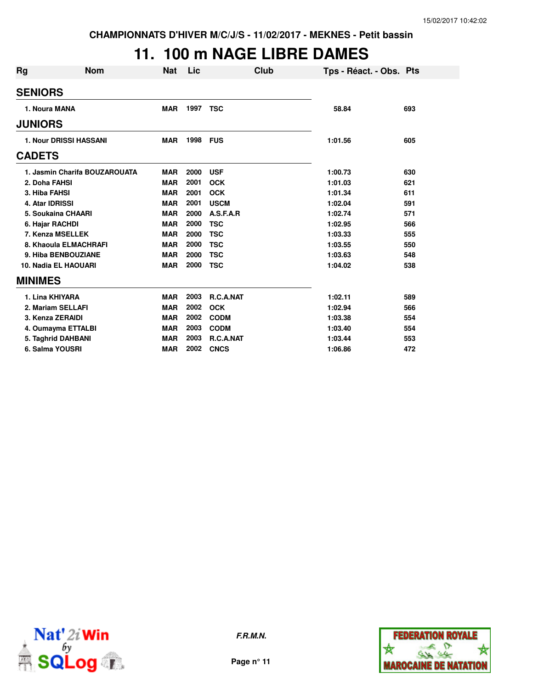# **11. 100 m NAGE LIBRE DAMES**

| Rg                | Nom                           | <b>Nat</b> | Lic  | Club        | Tps - Réact. - Obs. Pts |     |
|-------------------|-------------------------------|------------|------|-------------|-------------------------|-----|
| <b>SENIORS</b>    |                               |            |      |             |                         |     |
| 1. Noura MANA     |                               | <b>MAR</b> | 1997 | <b>TSC</b>  | 58.84                   | 693 |
| <b>JUNIORS</b>    |                               |            |      |             |                         |     |
|                   | <b>1. Nour DRISSI HASSANI</b> | <b>MAR</b> | 1998 | <b>FUS</b>  | 1:01.56                 | 605 |
| <b>CADETS</b>     |                               |            |      |             |                         |     |
|                   | 1. Jasmin Charifa BOUZAROUATA | <b>MAR</b> | 2000 | <b>USF</b>  | 1:00.73                 | 630 |
| 2. Doha FAHSI     |                               | <b>MAR</b> | 2001 | <b>OCK</b>  | 1:01.03                 | 621 |
| 3. Hiba FAHSI     |                               | <b>MAR</b> | 2001 | <b>OCK</b>  | 1:01.34                 | 611 |
| 4. Atar IDRISSI   |                               | <b>MAR</b> | 2001 | <b>USCM</b> | 1:02.04                 | 591 |
|                   | 5. Soukaina CHAARI            | <b>MAR</b> | 2000 | A.S.F.A.R   | 1:02.74                 | 571 |
| 6. Hajar RACHDI   |                               | <b>MAR</b> | 2000 | <b>TSC</b>  | 1:02.95                 | 566 |
|                   | 7. Kenza MSELLEK              | <b>MAR</b> | 2000 | <b>TSC</b>  | 1:03.33                 | 555 |
|                   | 8. Khaoula ELMACHRAFI         | <b>MAR</b> | 2000 | <b>TSC</b>  | 1:03.55                 | 550 |
|                   | 9. Hiba BENBOUZIANE           | <b>MAR</b> | 2000 | <b>TSC</b>  | 1:03.63                 | 548 |
|                   | 10. Nadia EL HAOUARI          | <b>MAR</b> | 2000 | <b>TSC</b>  | 1:04.02                 | 538 |
| <b>MINIMES</b>    |                               |            |      |             |                         |     |
| 1. Lina KHIYARA   |                               | <b>MAR</b> | 2003 | R.C.A.NAT   | 1:02.11                 | 589 |
| 2. Mariam SELLAFI |                               | <b>MAR</b> | 2002 | <b>OCK</b>  | 1:02.94                 | 566 |
| 3. Kenza ZERAIDI  |                               | <b>MAR</b> | 2002 | <b>CODM</b> | 1:03.38                 | 554 |
|                   | 4. Oumayma ETTALBI            | <b>MAR</b> | 2003 | <b>CODM</b> | 1:03.40                 | 554 |
|                   | 5. Taghrid DAHBANI            | <b>MAR</b> | 2003 | R.C.A.NAT   | 1:03.44                 | 553 |
| 6. Salma YOUSRI   |                               | <b>MAR</b> | 2002 | <b>CNCS</b> | 1:06.86                 | 472 |



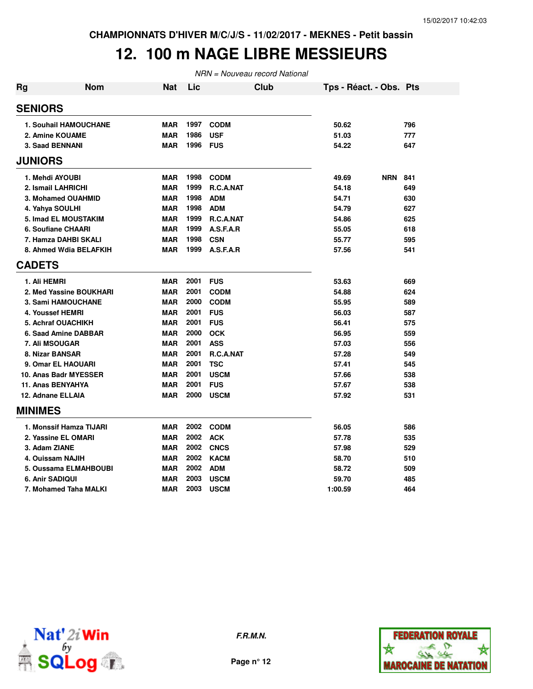### **12. 100 m NAGE LIBRE MESSIEURS**

| <b>Rg</b>      | <b>Nom</b>                   | <b>Nat</b> | Lic  | <b>Club</b> | Tps - Réact. - Obs. Pts |     |
|----------------|------------------------------|------------|------|-------------|-------------------------|-----|
| <b>SENIORS</b> |                              |            |      |             |                         |     |
|                | <b>1. Souhail HAMOUCHANE</b> | MAR        | 1997 | <b>CODM</b> | 50.62                   | 796 |
|                | 2. Amine KOUAME              | <b>MAR</b> | 1986 | <b>USF</b>  | 51.03                   | 777 |
|                | 3. Saad BENNANI              | <b>MAR</b> | 1996 | <b>FUS</b>  | 54.22                   | 647 |
| <b>JUNIORS</b> |                              |            |      |             |                         |     |
|                | 1. Mehdi AYOUBI              | <b>MAR</b> | 1998 | <b>CODM</b> | <b>NRN</b><br>49.69     | 841 |
|                | 2. Ismail LAHRICHI           | <b>MAR</b> | 1999 | R.C.A.NAT   | 54.18                   | 649 |
|                | 3. Mohamed OUAHMID           | <b>MAR</b> | 1998 | <b>ADM</b>  | 54.71                   | 630 |
|                | 4. Yahya SOULHI              | <b>MAR</b> | 1998 | <b>ADM</b>  | 54.79                   | 627 |
|                | 5. Imad EL MOUSTAKIM         | <b>MAR</b> | 1999 | R.C.A.NAT   | 54.86                   | 625 |
|                | 6. Soufiane CHAARI           | <b>MAR</b> | 1999 | A.S.F.A.R   | 55.05                   | 618 |
|                | 7. Hamza DAHBI SKALI         | <b>MAR</b> | 1998 | <b>CSN</b>  | 55.77                   | 595 |
|                | 8. Ahmed Wdia BELAFKIH       | <b>MAR</b> | 1999 | A.S.F.A.R   | 57.56                   | 541 |
| <b>CADETS</b>  |                              |            |      |             |                         |     |
|                | 1. Ali HEMRI                 | <b>MAR</b> | 2001 | <b>FUS</b>  | 53.63                   | 669 |
|                | 2. Med Yassine BOUKHARI      | <b>MAR</b> | 2001 | <b>CODM</b> | 54.88                   | 624 |
|                | 3. Sami HAMOUCHANE           | <b>MAR</b> | 2000 | <b>CODM</b> | 55.95                   | 589 |
|                | 4. Youssef HEMRI             | <b>MAR</b> | 2001 | <b>FUS</b>  | 56.03                   | 587 |
|                | <b>5. Achraf OUACHIKH</b>    | <b>MAR</b> | 2001 | <b>FUS</b>  | 56.41                   | 575 |
|                | 6. Saad Amine DABBAR         | <b>MAR</b> | 2000 | <b>OCK</b>  | 56.95                   | 559 |
|                | 7. Ali MSOUGAR               | <b>MAR</b> | 2001 | <b>ASS</b>  | 57.03                   | 556 |
|                | 8. Nizar BANSAR              | <b>MAR</b> | 2001 | R.C.A.NAT   | 57.28                   | 549 |
|                | 9. Omar EL HAOUARI           | <b>MAR</b> | 2001 | <b>TSC</b>  | 57.41                   | 545 |
|                | 10. Anas Badr MYESSER        | <b>MAR</b> | 2001 | <b>USCM</b> | 57.66                   | 538 |
|                | <b>11. Anas BENYAHYA</b>     | <b>MAR</b> | 2001 | <b>FUS</b>  | 57.67                   | 538 |
|                | 12. Adnane ELLAIA            | <b>MAR</b> | 2000 | <b>USCM</b> | 57.92                   | 531 |
| <b>MINIMES</b> |                              |            |      |             |                         |     |
|                | 1. Monssif Hamza TIJARI      | <b>MAR</b> | 2002 | <b>CODM</b> | 56.05                   | 586 |
|                | 2. Yassine EL OMARI          | <b>MAR</b> | 2002 | <b>ACK</b>  | 57.78                   | 535 |
|                | 3. Adam ZIANE                | <b>MAR</b> | 2002 | <b>CNCS</b> | 57.98                   | 529 |
|                | 4. Ouissam NAJIH             | <b>MAR</b> | 2002 | <b>KACM</b> | 58.70                   | 510 |
|                | 5. Oussama ELMAHBOUBI        | <b>MAR</b> | 2002 | <b>ADM</b>  | 58.72                   | 509 |
|                | <b>6. Anir SADIQUI</b>       | <b>MAR</b> | 2003 | <b>USCM</b> | 59.70                   | 485 |
|                | 7. Mohamed Taha MALKI        | <b>MAR</b> | 2003 | <b>USCM</b> | 1:00.59                 | 464 |





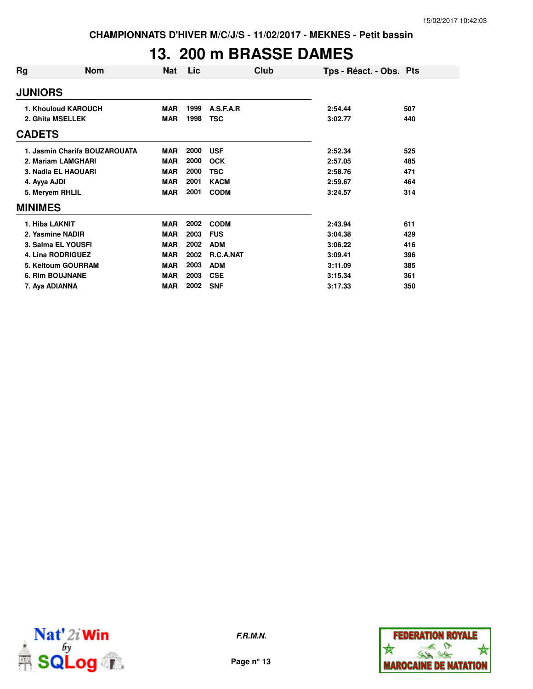### **13. 200 m BRASSE DAMES**

| Rg               | <b>Nom</b>                    | <b>Nat</b> | Lic  | Club        | Tps - Réact. - Obs. Pts |     |
|------------------|-------------------------------|------------|------|-------------|-------------------------|-----|
| <b>JUNIORS</b>   |                               |            |      |             |                         |     |
|                  | 1. Khouloud KAROUCH           | <b>MAR</b> | 1999 | A.S.F.A.R   | 2:54.44                 | 507 |
|                  | 2. Ghita MSELLEK              | <b>MAR</b> | 1998 | <b>TSC</b>  | 3:02.77                 | 440 |
| <b>CADETS</b>    |                               |            |      |             |                         |     |
|                  | 1. Jasmin Charifa BOUZAROUATA | <b>MAR</b> | 2000 | <b>USF</b>  | 2:52.34                 | 525 |
|                  | 2. Mariam LAMGHARI            | <b>MAR</b> | 2000 | <b>OCK</b>  | 2:57.05                 | 485 |
|                  | 3. Nadia EL HAOUARI           | <b>MAR</b> | 2000 | <b>TSC</b>  | 2:58.76                 | 471 |
| 4. Ayya AJDI     |                               | <b>MAR</b> | 2001 | <b>KACM</b> | 2:59.67                 | 464 |
| 5. Meryem RHLIL  |                               | <b>MAR</b> | 2001 | <b>CODM</b> | 3:24.57                 | 314 |
| <b>MINIMES</b>   |                               |            |      |             |                         |     |
| 1. Hiba LAKNIT   |                               | <b>MAR</b> | 2002 | <b>CODM</b> | 2:43.94                 | 611 |
| 2. Yasmine NADIR |                               | <b>MAR</b> | 2003 | <b>FUS</b>  | 3:04.38                 | 429 |
|                  | 3. Salma EL YOUSFI            | <b>MAR</b> | 2002 | <b>ADM</b>  | 3:06.22                 | 416 |
|                  | <b>4. Lina RODRIGUEZ</b>      | <b>MAR</b> | 2002 | R.C.A.NAT   | 3:09.41                 | 396 |
|                  | 5. Keltoum GOURRAM            | <b>MAR</b> | 2003 | <b>ADM</b>  | 3:11.09                 | 385 |
|                  | <b>6. Rim BOUJNANE</b>        | <b>MAR</b> | 2003 | <b>CSE</b>  | 3:15.34                 | 361 |
| 7. Aya ADIANNA   |                               | <b>MAR</b> | 2002 | <b>SNF</b>  | 3:17.33                 | 350 |



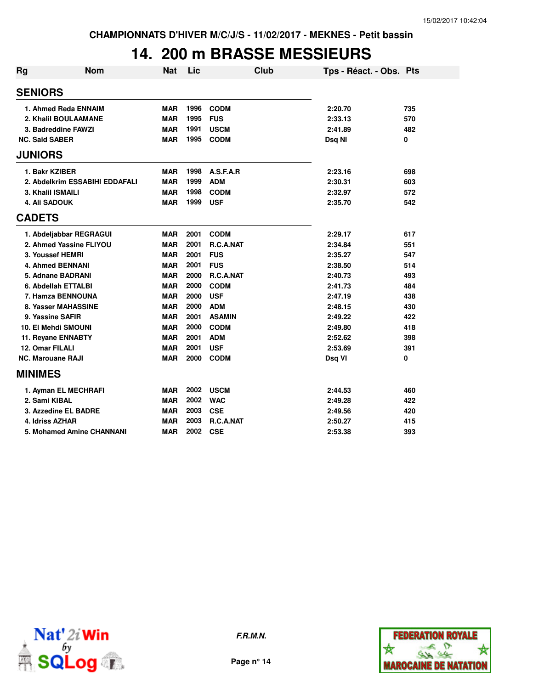# **14. 200 m BRASSE MESSIEURS**

| Rg                       | <b>Nom</b>                     | <b>Nat</b> | Lic  |               | Club | Tps - Réact. - Obs. Pts |     |
|--------------------------|--------------------------------|------------|------|---------------|------|-------------------------|-----|
| <b>SENIORS</b>           |                                |            |      |               |      |                         |     |
|                          | 1. Ahmed Reda ENNAIM           | <b>MAR</b> | 1996 | <b>CODM</b>   |      | 2:20.70                 | 735 |
|                          | 2. Khalil BOULAAMANE           | <b>MAR</b> | 1995 | <b>FUS</b>    |      | 2:33.13                 | 570 |
|                          | 3. Badreddine FAWZI            | <b>MAR</b> | 1991 | <b>USCM</b>   |      | 2:41.89                 | 482 |
| <b>NC. Said SABER</b>    |                                | <b>MAR</b> | 1995 | <b>CODM</b>   |      | Dsq NI                  | 0   |
| <b>JUNIORS</b>           |                                |            |      |               |      |                         |     |
| 1. Bakr KZIBER           |                                | <b>MAR</b> | 1998 | A.S.F.A.R     |      | 2:23.16                 | 698 |
|                          | 2. Abdelkrim ESSABIHI EDDAFALI | <b>MAR</b> | 1999 | <b>ADM</b>    |      | 2:30.31                 | 603 |
| 3. Khalil ISMAILI        |                                | <b>MAR</b> | 1998 | <b>CODM</b>   |      | 2:32.97                 | 572 |
| 4. Ali SADOUK            |                                | <b>MAR</b> | 1999 | <b>USF</b>    |      | 2:35.70                 | 542 |
| <b>CADETS</b>            |                                |            |      |               |      |                         |     |
|                          | 1. Abdeljabbar REGRAGUI        | <b>MAR</b> | 2001 | <b>CODM</b>   |      | 2:29.17                 | 617 |
|                          | 2. Ahmed Yassine FLIYOU        | <b>MAR</b> | 2001 | R.C.A.NAT     |      | 2:34.84                 | 551 |
| 3. Youssef HEMRI         |                                | <b>MAR</b> | 2001 | <b>FUS</b>    |      | 2:35.27                 | 547 |
|                          | <b>4. Ahmed BENNANI</b>        | <b>MAR</b> | 2001 | <b>FUS</b>    |      | 2:38.50                 | 514 |
|                          | 5. Adnane BADRANI              | <b>MAR</b> | 2000 | R.C.A.NAT     |      | 2:40.73                 | 493 |
|                          | 6. Abdellah ETTALBI            | <b>MAR</b> | 2000 | <b>CODM</b>   |      | 2:41.73                 | 484 |
|                          | 7. Hamza BENNOUNA              | <b>MAR</b> | 2000 | <b>USF</b>    |      | 2:47.19                 | 438 |
|                          | 8. Yasser MAHASSINE            | <b>MAR</b> | 2000 | <b>ADM</b>    |      | 2:48.15                 | 430 |
| 9. Yassine SAFIR         |                                | <b>MAR</b> | 2001 | <b>ASAMIN</b> |      | 2:49.22                 | 422 |
|                          | <b>10. El Mehdi SMOUNI</b>     | <b>MAR</b> | 2000 | <b>CODM</b>   |      | 2:49.80                 | 418 |
|                          | 11. Reyane ENNABTY             | <b>MAR</b> | 2001 | <b>ADM</b>    |      | 2:52.62                 | 398 |
| 12. Omar FILALI          |                                | <b>MAR</b> | 2001 | <b>USF</b>    |      | 2:53.69                 | 391 |
| <b>NC. Marouane RAJI</b> |                                | <b>MAR</b> | 2000 | <b>CODM</b>   |      | Dsq VI                  | 0   |
| <b>MINIMES</b>           |                                |            |      |               |      |                         |     |
|                          | 1. Ayman EL MECHRAFI           | <b>MAR</b> | 2002 | <b>USCM</b>   |      | 2:44.53                 | 460 |
| 2. Sami KIBAL            |                                | <b>MAR</b> | 2002 | <b>WAC</b>    |      | 2:49.28                 | 422 |
|                          | 3. Azzedine EL BADRE           | <b>MAR</b> | 2003 | <b>CSE</b>    |      | 2:49.56                 | 420 |
| 4. Idriss AZHAR          |                                | <b>MAR</b> | 2003 | R.C.A.NAT     |      | 2:50.27                 | 415 |
|                          | 5. Mohamed Amine CHANNANI      | <b>MAR</b> | 2002 | <b>CSE</b>    |      | 2:53.38                 | 393 |





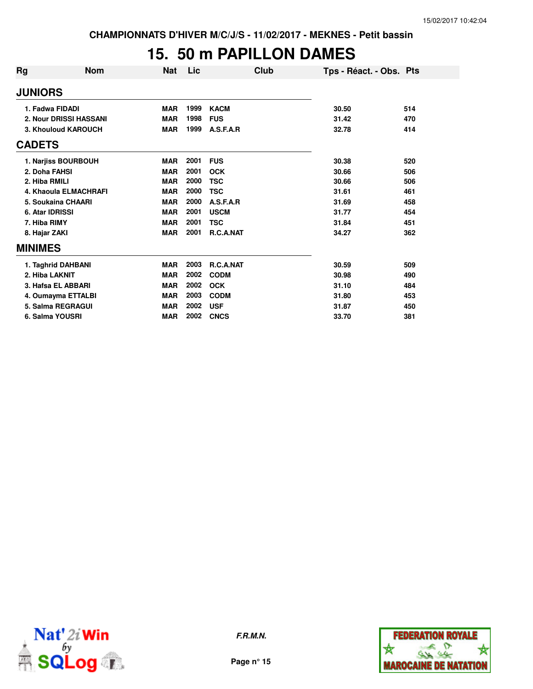### **15. 50 m PAPILLON DAMES**

| Rg              | Nom                    | <b>Nat</b> | Lic  | Club        | Tps - Réact. - Obs. Pts |  |
|-----------------|------------------------|------------|------|-------------|-------------------------|--|
| <b>JUNIORS</b>  |                        |            |      |             |                         |  |
| 1. Fadwa FIDADI |                        | <b>MAR</b> | 1999 | <b>KACM</b> | 30.50<br>514            |  |
|                 | 2. Nour DRISSI HASSANI | <b>MAR</b> | 1998 | <b>FUS</b>  | 31.42<br>470            |  |
|                 | 3. Khouloud KAROUCH    | <b>MAR</b> | 1999 | A.S.F.A.R   | 32.78<br>414            |  |
| <b>CADETS</b>   |                        |            |      |             |                         |  |
|                 | 1. Narjiss BOURBOUH    | <b>MAR</b> | 2001 | <b>FUS</b>  | 30.38<br>520            |  |
| 2. Doha FAHSI   |                        | <b>MAR</b> | 2001 | <b>OCK</b>  | 30.66<br>506            |  |
| 2. Hiba RMILI   |                        | <b>MAR</b> | 2000 | <b>TSC</b>  | 30.66<br>506            |  |
|                 | 4. Khaoula ELMACHRAFI  | <b>MAR</b> | 2000 | <b>TSC</b>  | 31.61<br>461            |  |
|                 | 5. Soukaina CHAARI     | <b>MAR</b> | 2000 | A.S.F.A.R   | 31.69<br>458            |  |
| 6. Atar IDRISSI |                        | <b>MAR</b> | 2001 | <b>USCM</b> | 31.77<br>454            |  |
| 7. Hiba RIMY    |                        | <b>MAR</b> | 2001 | <b>TSC</b>  | 31.84<br>451            |  |
| 8. Hajar ZAKI   |                        | <b>MAR</b> | 2001 | R.C.A.NAT   | 34.27<br>362            |  |
| <b>MINIMES</b>  |                        |            |      |             |                         |  |
|                 | 1. Taghrid DAHBANI     | <b>MAR</b> | 2003 | R.C.A.NAT   | 30.59<br>509            |  |
| 2. Hiba LAKNIT  |                        | <b>MAR</b> | 2002 | <b>CODM</b> | 30.98<br>490            |  |
|                 | 3. Hafsa EL ABBARI     | <b>MAR</b> | 2002 | <b>OCK</b>  | 31.10<br>484            |  |
|                 | 4. Oumayma ETTALBI     | <b>MAR</b> | 2003 | <b>CODM</b> | 31.80<br>453            |  |
|                 | 5. Salma REGRAGUI      | <b>MAR</b> | 2002 | <b>USF</b>  | 31.87<br>450            |  |
| 6. Salma YOUSRI |                        | <b>MAR</b> | 2002 | <b>CNCS</b> | 33.70<br>381            |  |



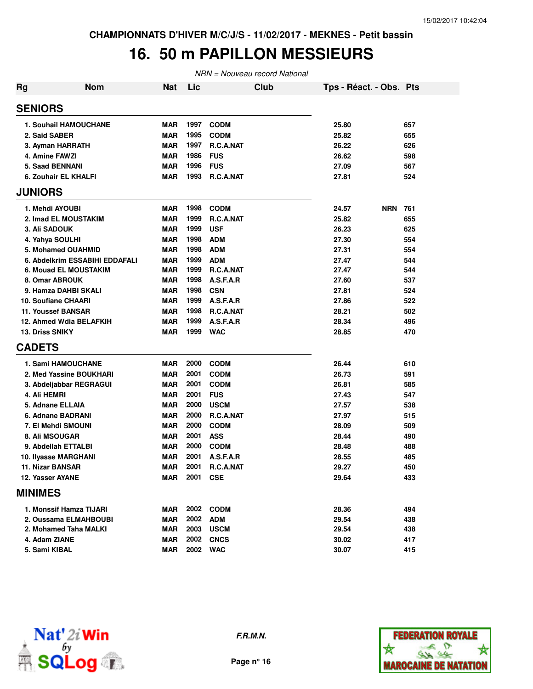### **16. 50 m PAPILLON MESSIEURS**

| <b>Rg</b> | <b>Nom</b>                     | <b>Nat</b> | Lic      |                  | Club | Tps - Réact. - Obs. Pts |            |     |
|-----------|--------------------------------|------------|----------|------------------|------|-------------------------|------------|-----|
|           | <b>SENIORS</b>                 |            |          |                  |      |                         |            |     |
|           | <b>1. Souhail HAMOUCHANE</b>   | <b>MAR</b> | 1997     | <b>CODM</b>      |      | 25.80                   |            | 657 |
|           | 2. Said SABER                  | <b>MAR</b> | 1995     | <b>CODM</b>      |      | 25.82                   |            | 655 |
|           | 3. Ayman HARRATH               | <b>MAR</b> | 1997     | R.C.A.NAT        |      | 26.22                   |            | 626 |
|           | 4. Amine FAWZI                 | <b>MAR</b> | 1986     | <b>FUS</b>       |      | 26.62                   |            | 598 |
|           | <b>5. Saad BENNANI</b>         | <b>MAR</b> | 1996     | <b>FUS</b>       |      | 27.09                   |            | 567 |
|           | 6. Zouhair EL KHALFI           | <b>MAR</b> | 1993     | R.C.A.NAT        |      | 27.81                   |            | 524 |
|           | <b>JUNIORS</b>                 |            |          |                  |      |                         |            |     |
|           | 1. Mehdi AYOUBI                | <b>MAR</b> | 1998     | <b>CODM</b>      |      | 24.57                   | <b>NRN</b> | 761 |
|           | 2. Imad EL MOUSTAKIM           | <b>MAR</b> | 1999     | R.C.A.NAT        |      | 25.82                   |            | 655 |
|           | 3. Ali SADOUK                  | <b>MAR</b> | 1999     | <b>USF</b>       |      | 26.23                   |            | 625 |
|           | 4. Yahya SOULHI                | <b>MAR</b> | 1998     | <b>ADM</b>       |      | 27.30                   |            | 554 |
|           | 5. Mohamed OUAHMID             | <b>MAR</b> | 1998     | <b>ADM</b>       |      | 27.31                   |            | 554 |
|           | 6. Abdelkrim ESSABIHI EDDAFALI | <b>MAR</b> | 1999     | <b>ADM</b>       |      | 27.47                   |            | 544 |
|           | <b>6. Mouad EL MOUSTAKIM</b>   | MAR        | 1999     | R.C.A.NAT        |      | 27.47                   |            | 544 |
|           | 8. Omar ABROUK                 | <b>MAR</b> | 1998     | A.S.F.A.R        |      | 27.60                   |            | 537 |
|           | 9. Hamza DAHBI SKALI           | <b>MAR</b> | 1998     | <b>CSN</b>       |      | 27.81                   |            | 524 |
|           | 10. Soufiane CHAARI            | <b>MAR</b> | 1999     | A.S.F.A.R        |      | 27.86                   |            | 522 |
|           | <b>11. Youssef BANSAR</b>      | <b>MAR</b> | 1998     | R.C.A.NAT        |      | 28.21                   |            | 502 |
|           | 12. Ahmed Wdia BELAFKIH        | <b>MAR</b> | 1999     | A.S.F.A.R        |      | 28.34                   |            | 496 |
|           | <b>13. Driss SNIKY</b>         | <b>MAR</b> | 1999     | <b>WAC</b>       |      | 28.85                   |            | 470 |
|           | <b>CADETS</b>                  |            |          |                  |      |                         |            |     |
|           | 1. Sami HAMOUCHANE             | <b>MAR</b> | 2000     | <b>CODM</b>      |      | 26.44                   |            | 610 |
|           | 2. Med Yassine BOUKHARI        | <b>MAR</b> | 2001     | <b>CODM</b>      |      | 26.73                   |            | 591 |
|           | 3. Abdeljabbar REGRAGUI        | <b>MAR</b> | 2001     | <b>CODM</b>      |      | 26.81                   |            | 585 |
|           | 4. Ali HEMRI                   | <b>MAR</b> | 2001     | <b>FUS</b>       |      | 27.43                   |            | 547 |
|           | 5. Adnane ELLAIA               | <b>MAR</b> | 2000     | <b>USCM</b>      |      | 27.57                   |            | 538 |
|           | 6. Adnane BADRANI              | <b>MAR</b> | 2000     | R.C.A.NAT        |      | 27.97                   |            | 515 |
|           | 7. El Mehdi SMOUNI             | <b>MAR</b> | 2000     | <b>CODM</b>      |      | 28.09                   |            | 509 |
|           | 8. Ali MSOUGAR                 | <b>MAR</b> | 2001     | <b>ASS</b>       |      | 28.44                   |            | 490 |
|           | 9. Abdellah ETTALBI            | <b>MAR</b> | 2000     | <b>CODM</b>      |      | 28.48                   |            | 488 |
|           | 10. Ilyasse MARGHANI           | <b>MAR</b> | 2001     | A.S.F.A.R        |      | 28.55                   |            | 485 |
|           | 11. Nizar BANSAR               | <b>MAR</b> | 2001     | R.C.A.NAT        |      | 29.27                   |            | 450 |
|           | 12. Yasser AYANE               | MAR        | 2001 CSE |                  |      | 29.64                   |            | 433 |
|           | <b>MINIMES</b>                 |            |          |                  |      |                         |            |     |
|           | 1. Monssif Hamza TIJARI        | MAR        |          | 2002 CODM        |      | 28.36                   |            | 494 |
|           | 2. Oussama ELMAHBOUBI          | <b>MAR</b> | 2002     | <b>ADM</b>       |      | 29.54                   |            | 438 |
|           | 2. Mohamed Taha MALKI          | <b>MAR</b> | 2003     | <b>USCM</b>      |      | 29.54                   |            | 438 |
|           | 4. Adam ZIANE                  | <b>MAR</b> |          | <b>2002 CNCS</b> |      | 30.02                   |            | 417 |
|           | 5. Sami KIBAL                  | <b>MAR</b> |          | 2002 WAC         |      | 30.07                   |            | 415 |



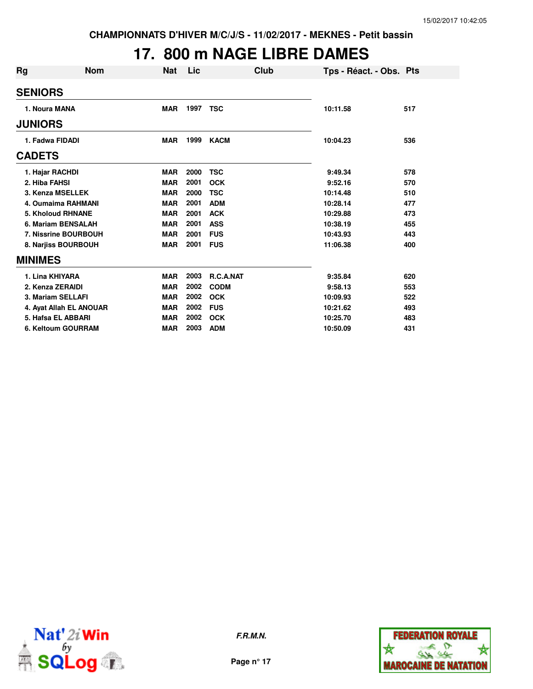# **17. 800 m NAGE LIBRE DAMES**

| Rg                       | <b>Nom</b> | Nat        | Lic  | Club        |          | Tps - Réact. - Obs. Pts |     |
|--------------------------|------------|------------|------|-------------|----------|-------------------------|-----|
| <b>SENIORS</b>           |            |            |      |             |          |                         |     |
| 1. Noura MANA            |            | <b>MAR</b> | 1997 | <b>TSC</b>  | 10:11.58 |                         | 517 |
| <b>JUNIORS</b>           |            |            |      |             |          |                         |     |
| 1. Fadwa FIDADI          |            | <b>MAR</b> | 1999 | <b>KACM</b> | 10:04.23 |                         | 536 |
| <b>CADETS</b>            |            |            |      |             |          |                         |     |
| 1. Hajar RACHDI          |            | <b>MAR</b> | 2000 | TSC         | 9:49.34  |                         | 578 |
| 2. Hiba FAHSI            |            | <b>MAR</b> | 2001 | <b>OCK</b>  | 9:52.16  |                         | 570 |
| 3. Kenza MSELLEK         |            | <b>MAR</b> | 2000 | <b>TSC</b>  | 10:14.48 |                         | 510 |
| 4. Oumaima RAHMANI       |            | <b>MAR</b> | 2001 | <b>ADM</b>  | 10:28.14 |                         | 477 |
| <b>5. Kholoud RHNANE</b> |            | <b>MAR</b> | 2001 | <b>ACK</b>  | 10:29.88 |                         | 473 |
| 6. Mariam BENSALAH       |            | <b>MAR</b> | 2001 | <b>ASS</b>  | 10:38.19 |                         | 455 |
| 7. Nissrine BOURBOUH     |            | <b>MAR</b> | 2001 | <b>FUS</b>  | 10:43.93 |                         | 443 |
| 8. Narjiss BOURBOUH      |            | <b>MAR</b> | 2001 | <b>FUS</b>  | 11:06.38 |                         | 400 |
| <b>MINIMES</b>           |            |            |      |             |          |                         |     |
| 1. Lina KHIYARA          |            | <b>MAR</b> | 2003 | R.C.A.NAT   | 9:35.84  |                         | 620 |
| 2. Kenza ZERAIDI         |            | <b>MAR</b> | 2002 | <b>CODM</b> | 9:58.13  |                         | 553 |
| 3. Mariam SELLAFI        |            | <b>MAR</b> | 2002 | <b>OCK</b>  | 10:09.93 |                         | 522 |
| 4. Ayat Allah EL ANOUAR  |            | <b>MAR</b> | 2002 | <b>FUS</b>  | 10:21.62 |                         | 493 |
| 5. Hafsa EL ABBARI       |            | <b>MAR</b> | 2002 | <b>OCK</b>  | 10:25.70 |                         | 483 |
| 6. Keltoum GOURRAM       |            | <b>MAR</b> | 2003 | <b>ADM</b>  | 10:50.09 |                         | 431 |



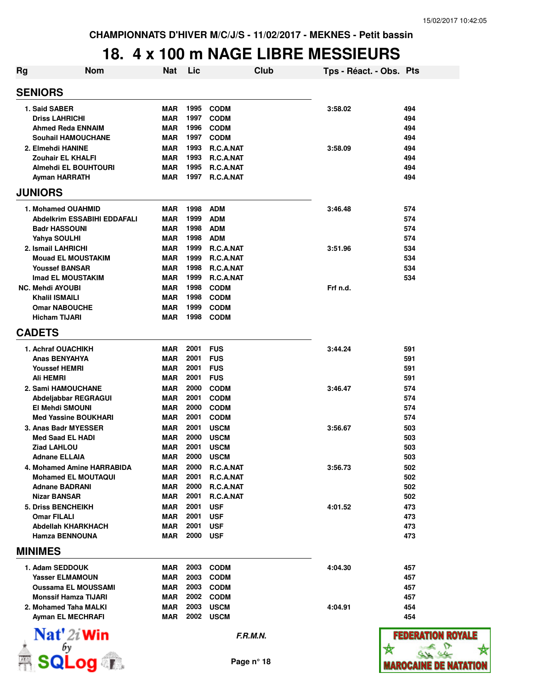# **18. 4 x 100 m NAGE LIBRE MESSIEURS**

| Rg | <b>Nom</b>                                   | Nat                      | Lic          |                            | Club | Tps - Réact. - Obs. Pts |               |
|----|----------------------------------------------|--------------------------|--------------|----------------------------|------|-------------------------|---------------|
|    | <b>SENIORS</b>                               |                          |              |                            |      |                         |               |
|    | 1. Said SABER                                | <b>MAR</b>               | 1995         | <b>CODM</b>                |      | 3:58.02                 | 494           |
|    | <b>Driss LAHRICHI</b>                        | <b>MAR</b>               | 1997         | <b>CODM</b>                |      |                         | 494           |
|    | <b>Ahmed Reda ENNAIM</b>                     | <b>MAR</b>               | 1996         | <b>CODM</b>                |      |                         | 494           |
|    | Souhail HAMOUCHANE                           | <b>MAR</b>               | 1997         | <b>CODM</b>                |      |                         | 494           |
|    | 2. Elmehdi HANINE                            | <b>MAR</b>               | 1993         | R.C.A.NAT                  |      | 3:58.09                 | 494           |
|    | Zouhair EL KHALFI                            | <b>MAR</b>               | 1993         | R.C.A.NAT                  |      |                         | 494           |
|    | Almehdi EL BOUHTOURI                         | <b>MAR</b>               | 1995         | R.C.A.NAT                  |      |                         | 494           |
|    | Ayman HARRATH                                | <b>MAR</b>               | 1997         | R.C.A.NAT                  |      |                         | 494           |
|    | <b>JUNIORS</b>                               |                          |              |                            |      |                         |               |
|    | 1. Mohamed OUAHMID                           | <b>MAR</b>               | 1998         | <b>ADM</b>                 |      | 3:46.48                 | 574           |
|    | Abdelkrim ESSABIHI EDDAFALI                  | <b>MAR</b>               | 1999         | <b>ADM</b>                 |      |                         | 574           |
|    | <b>Badr HASSOUNI</b>                         | <b>MAR</b>               | 1998         | <b>ADM</b>                 |      |                         | 574           |
|    | Yahya SOULHI                                 | <b>MAR</b>               | 1998         | <b>ADM</b>                 |      |                         | 574           |
|    | 2. Ismail LAHRICHI                           | <b>MAR</b>               | 1999         | R.C.A.NAT                  |      | 3:51.96                 | 534           |
|    | <b>Mouad EL MOUSTAKIM</b>                    | <b>MAR</b>               | 1999         | R.C.A.NAT                  |      |                         | 534           |
|    | <b>Youssef BANSAR</b>                        | <b>MAR</b>               | 1998         | R.C.A.NAT                  |      |                         | 534           |
|    | Imad EL MOUSTAKIM                            | <b>MAR</b>               | 1999         | R.C.A.NAT                  |      |                         | 534           |
|    | <b>NC. Mehdi AYOUBI</b>                      | <b>MAR</b>               | 1998         | <b>CODM</b>                |      | Frf n.d.                |               |
|    | Khalil ISMAILI                               | <b>MAR</b>               | 1998<br>1999 | <b>CODM</b>                |      |                         |               |
|    | <b>Omar NABOUCHE</b><br><b>Hicham TIJARI</b> | <b>MAR</b><br><b>MAR</b> | 1998         | <b>CODM</b><br><b>CODM</b> |      |                         |               |
|    |                                              |                          |              |                            |      |                         |               |
|    | <b>CADETS</b>                                |                          |              |                            |      |                         |               |
|    | 1. Achraf OUACHIKH                           | <b>MAR</b>               | 2001         | <b>FUS</b>                 |      | 3:44.24                 | 591           |
|    | Anas BENYAHYA                                | <b>MAR</b>               | 2001         | <b>FUS</b>                 |      |                         | 591           |
|    | <b>Youssef HEMRI</b>                         | <b>MAR</b>               | 2001         | <b>FUS</b>                 |      |                         | 591           |
|    | Ali HEMRI                                    | <b>MAR</b>               | 2001         | <b>FUS</b>                 |      |                         | 591           |
|    | 2. Sami HAMOUCHANE                           | <b>MAR</b>               | 2000         | <b>CODM</b>                |      | 3:46.47                 | 574           |
|    | Abdeljabbar REGRAGUI                         | <b>MAR</b>               | 2001         | <b>CODM</b>                |      |                         | 574           |
|    | <b>EI Mehdi SMOUNI</b>                       | <b>MAR</b>               | 2000         | <b>CODM</b>                |      |                         | 574           |
|    | <b>Med Yassine BOUKHARI</b>                  | <b>MAR</b>               | 2001         | <b>CODM</b>                |      |                         | 574           |
|    | 3. Anas Badr MYESSER                         | <b>MAR</b>               | 2001         | <b>USCM</b>                |      | 3:56.67                 | 503           |
|    | <b>Med Saad EL HADI</b>                      | <b>MAR</b><br><b>MAR</b> | 2000<br>2001 | <b>USCM</b>                |      |                         | 503           |
|    | <b>Ziad LAHLOU</b><br>Adnane ELLAIA          | <b>MAR</b>               | 2000         | <b>USCM</b><br><b>USCM</b> |      |                         | 503<br>503    |
|    | 4. Mohamed Amine HARRABIDA                   | MAR                      | 2000         |                            |      | 3:56.73                 | 502           |
|    | <b>Mohamed EL MOUTAQUI</b>                   | MAR                      | 2001         | R.C.A.NAT<br>R.C.A.NAT     |      |                         | 502           |
|    | <b>Adnane BADRANI</b>                        | MAR                      | 2000         | R.C.A.NAT                  |      |                         | 502           |
|    | Nizar BANSAR                                 | MAR                      | 2001         | R.C.A.NAT                  |      |                         | 502           |
|    | 5. Driss BENCHEIKH                           | <b>MAR</b>               | 2001         | <b>USF</b>                 |      | 4:01.52                 | 473           |
|    | Omar FILALI                                  | MAR                      | 2001         | <b>USF</b>                 |      |                         | 473           |
|    | Abdellah KHARKHACH                           | <b>MAR</b>               | 2001         | <b>USF</b>                 |      |                         | 473           |
|    | <b>Hamza BENNOUNA</b>                        | <b>MAR</b>               | 2000         | <b>USF</b>                 |      |                         | 473           |
|    | <b>MINIMES</b>                               |                          |              |                            |      |                         |               |
|    | 1. Adam SEDDOUK                              | MAR                      | 2003         | <b>CODM</b>                |      | 4:04.30                 | 457           |
|    | <b>Yasser ELMAMOUN</b>                       | <b>MAR</b>               | 2003         | <b>CODM</b>                |      |                         | 457           |
|    | <b>Oussama EL MOUSSAMI</b>                   | <b>MAR</b>               | 2003         | <b>CODM</b>                |      |                         | 457           |
|    | <b>Monssif Hamza TIJARI</b>                  | MAR                      | 2002         | <b>CODM</b>                |      |                         | 457           |
|    | 2. Mohamed Taha MALKI                        | MAR                      | 2003         | <b>USCM</b>                |      | 4:04.91                 | 454           |
|    | Ayman EL MECHRAFI                            | <b>MAR</b>               | 2002         | <b>USCM</b>                |      |                         | 454           |
|    | $\mathbf{Nat}'$ 2i Win                       |                          |              | F.R.M.N.                   |      |                         | <b>FEDERA</b> |



 $\overbrace{\textsf{sqLog}}^{\text{fay}}$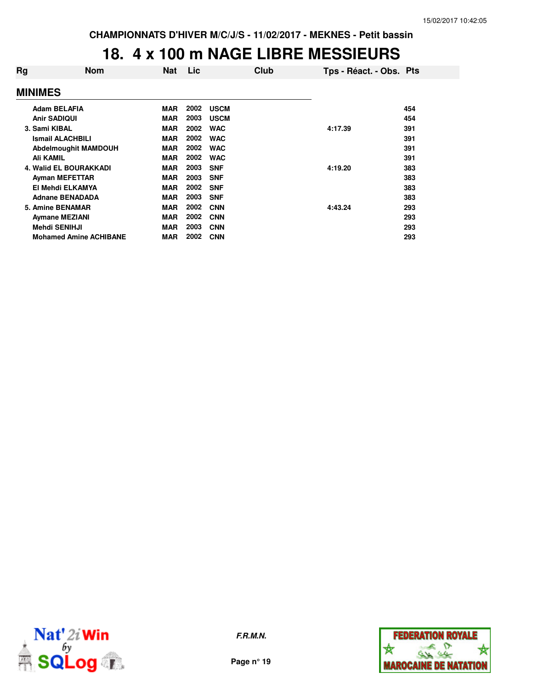# **18. 4 x 100 m NAGE LIBRE MESSIEURS**

| Rg | <b>Nom</b>                    | Nat        | Lic  | Club        | Tps - Réact. - Obs. Pts |     |
|----|-------------------------------|------------|------|-------------|-------------------------|-----|
|    | <b>MINIMES</b>                |            |      |             |                         |     |
|    | <b>Adam BELAFIA</b>           | <b>MAR</b> | 2002 | <b>USCM</b> |                         | 454 |
|    | <b>Anir SADIQUI</b>           | <b>MAR</b> | 2003 | <b>USCM</b> |                         | 454 |
|    | 3. Sami KIBAL                 | <b>MAR</b> | 2002 | <b>WAC</b>  | 4:17.39                 | 391 |
|    | <b>Ismail ALACHBILI</b>       | <b>MAR</b> | 2002 | <b>WAC</b>  |                         | 391 |
|    | Abdelmoughit MAMDOUH          | <b>MAR</b> | 2002 | <b>WAC</b>  |                         | 391 |
|    | Ali KAMIL                     | <b>MAR</b> | 2002 | <b>WAC</b>  |                         | 391 |
|    | <b>4. Walid EL BOURAKKADI</b> | <b>MAR</b> | 2003 | <b>SNF</b>  | 4:19.20                 | 383 |
|    | <b>Ayman MEFETTAR</b>         | <b>MAR</b> | 2003 | <b>SNF</b>  |                         | 383 |
|    | El Mehdi ELKAMYA              | <b>MAR</b> | 2002 | <b>SNF</b>  |                         | 383 |
|    | <b>Adnane BENADADA</b>        | <b>MAR</b> | 2003 | <b>SNF</b>  |                         | 383 |
|    | 5. Amine BENAMAR              | <b>MAR</b> | 2002 | <b>CNN</b>  | 4:43.24                 | 293 |
|    | <b>Aymane MEZIANI</b>         | <b>MAR</b> | 2002 | <b>CNN</b>  |                         | 293 |
|    | <b>Mehdi SENIHJI</b>          | <b>MAR</b> | 2003 | <b>CNN</b>  |                         | 293 |
|    | <b>Mohamed Amine ACHIBANE</b> | <b>MAR</b> | 2002 | <b>CNN</b>  |                         | 293 |
|    |                               |            |      |             |                         |     |



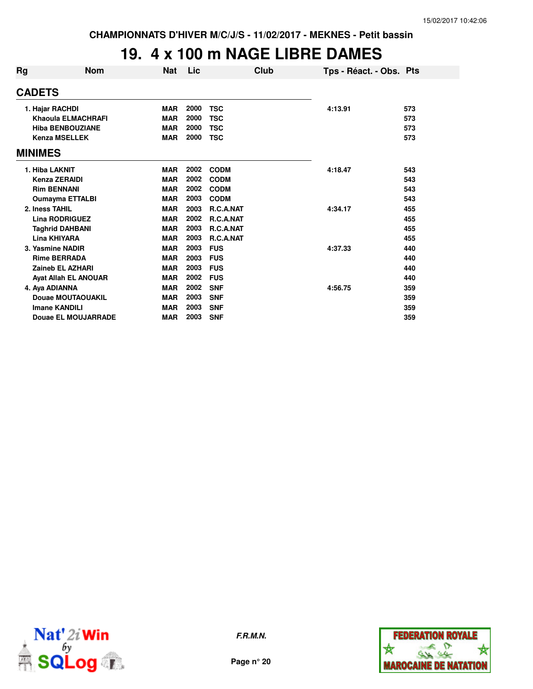# **19. 4 x 100 m NAGE LIBRE DAMES**

| Rg             | <b>Nom</b>                  | <b>Nat</b> | Lic  | Club        |         | Tps - Réact. - Obs. Pts |     |
|----------------|-----------------------------|------------|------|-------------|---------|-------------------------|-----|
| <b>CADETS</b>  |                             |            |      |             |         |                         |     |
|                | 1. Hajar RACHDI             | <b>MAR</b> | 2000 | <b>TSC</b>  | 4:13.91 |                         | 573 |
|                | Khaoula ELMACHRAFI          | <b>MAR</b> | 2000 | <b>TSC</b>  |         |                         | 573 |
|                | <b>Hiba BENBOUZIANE</b>     | <b>MAR</b> | 2000 | <b>TSC</b>  |         |                         | 573 |
|                | <b>Kenza MSELLEK</b>        | <b>MAR</b> | 2000 | <b>TSC</b>  |         |                         | 573 |
| <b>MINIMES</b> |                             |            |      |             |         |                         |     |
|                | 1. Hiba LAKNIT              | <b>MAR</b> | 2002 | <b>CODM</b> | 4:18.47 |                         | 543 |
|                | Kenza ZERAIDI               | <b>MAR</b> | 2002 | <b>CODM</b> |         |                         | 543 |
|                | <b>Rim BENNANI</b>          | <b>MAR</b> | 2002 | <b>CODM</b> |         |                         | 543 |
|                | <b>Oumayma ETTALBI</b>      | <b>MAR</b> | 2003 | <b>CODM</b> |         |                         | 543 |
|                | 2. Iness TAHIL              | <b>MAR</b> | 2003 | R.C.A.NAT   | 4:34.17 |                         | 455 |
|                | <b>Lina RODRIGUEZ</b>       | <b>MAR</b> | 2002 | R.C.A.NAT   |         |                         | 455 |
|                | <b>Taghrid DAHBANI</b>      | <b>MAR</b> | 2003 | R.C.A.NAT   |         |                         | 455 |
|                | Lina KHIYARA                | <b>MAR</b> | 2003 | R.C.A.NAT   |         |                         | 455 |
|                | 3. Yasmine NADIR            | <b>MAR</b> | 2003 | <b>FUS</b>  | 4:37.33 |                         | 440 |
|                | <b>Rime BERRADA</b>         | <b>MAR</b> | 2003 | <b>FUS</b>  |         |                         | 440 |
|                | <b>Zaineb EL AZHARI</b>     | <b>MAR</b> | 2003 | <b>FUS</b>  |         |                         | 440 |
|                | <b>Ayat Allah EL ANOUAR</b> | <b>MAR</b> | 2002 | <b>FUS</b>  |         |                         | 440 |
|                | 4. Aya ADIANNA              | <b>MAR</b> | 2002 | <b>SNF</b>  | 4:56.75 |                         | 359 |
|                | Douae MOUTAOUAKIL           | <b>MAR</b> | 2003 | <b>SNF</b>  |         |                         | 359 |
|                | <b>Imane KANDILI</b>        | <b>MAR</b> | 2003 | <b>SNF</b>  |         |                         | 359 |
|                | <b>Douae EL MOUJARRADE</b>  | <b>MAR</b> | 2003 | <b>SNF</b>  |         |                         | 359 |



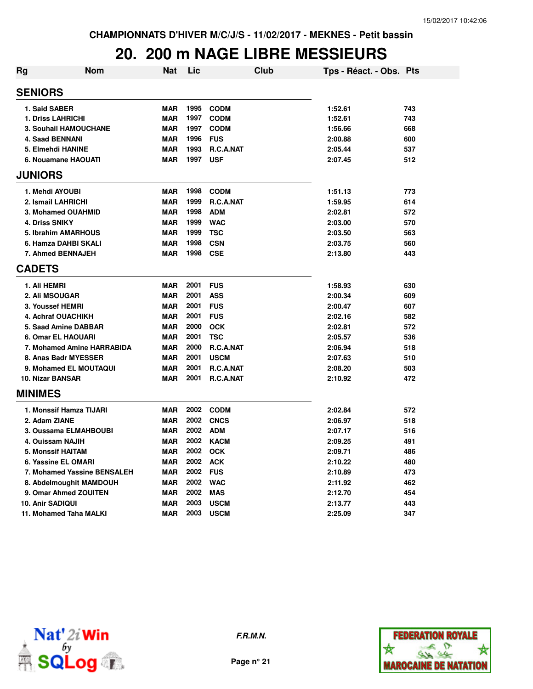# **20. 200 m NAGE LIBRE MESSIEURS**

| Rg                 | <b>Nom</b>                   | Nat        | Lic  |                  | Club | Tps - Réact. - Obs. Pts |     |
|--------------------|------------------------------|------------|------|------------------|------|-------------------------|-----|
| <b>SENIORS</b>     |                              |            |      |                  |      |                         |     |
| 1. Said SABER      |                              | <b>MAR</b> | 1995 | <b>CODM</b>      |      | 1:52.61                 | 743 |
| 1. Driss LAHRICHI  |                              | <b>MAR</b> | 1997 | <b>CODM</b>      |      | 1:52.61                 | 743 |
|                    | <b>3. Souhail HAMOUCHANE</b> | <b>MAR</b> | 1997 | <b>CODM</b>      |      | 1:56.66                 | 668 |
| 4. Saad BENNANI    |                              | <b>MAR</b> | 1996 | <b>FUS</b>       |      | 2:00.88                 | 600 |
| 5. Elmehdi HANINE  |                              | <b>MAR</b> | 1993 | R.C.A.NAT        |      | 2:05.44                 | 537 |
|                    | 6. Nouamane HAOUATI          | <b>MAR</b> | 1997 | <b>USF</b>       |      | 2:07.45                 | 512 |
| <b>JUNIORS</b>     |                              |            |      |                  |      |                         |     |
| 1. Mehdi AYOUBI    |                              | <b>MAR</b> | 1998 | <b>CODM</b>      |      | 1:51.13                 | 773 |
| 2. Ismail LAHRICHI |                              | <b>MAR</b> | 1999 | R.C.A.NAT        |      | 1:59.95                 | 614 |
|                    | 3. Mohamed OUAHMID           | <b>MAR</b> | 1998 | <b>ADM</b>       |      | 2:02.81                 | 572 |
| 4. Driss SNIKY     |                              | <b>MAR</b> | 1999 | <b>WAC</b>       |      | 2:03.00                 | 570 |
|                    | 5. Ibrahim AMARHOUS          | <b>MAR</b> | 1999 | TSC              |      | 2:03.50                 | 563 |
|                    | 6. Hamza DAHBI SKALI         | <b>MAR</b> | 1998 | <b>CSN</b>       |      | 2:03.75                 | 560 |
|                    | 7. Ahmed BENNAJEH            | <b>MAR</b> | 1998 | <b>CSE</b>       |      | 2:13.80                 | 443 |
| <b>CADETS</b>      |                              |            |      |                  |      |                         |     |
| 1. Ali HEMRI       |                              | <b>MAR</b> | 2001 | <b>FUS</b>       |      | 1:58.93                 | 630 |
| 2. Ali MSOUGAR     |                              | <b>MAR</b> | 2001 | <b>ASS</b>       |      | 2:00.34                 | 609 |
| 3. Youssef HEMRI   |                              | <b>MAR</b> | 2001 | <b>FUS</b>       |      | 2:00.47                 | 607 |
|                    | 4. Achraf OUACHIKH           | <b>MAR</b> | 2001 | <b>FUS</b>       |      | 2:02.16                 | 582 |
|                    | 5. Saad Amine DABBAR         | <b>MAR</b> | 2000 | <b>OCK</b>       |      | 2:02.81                 | 572 |
|                    | 6. Omar EL HAOUARI           | <b>MAR</b> | 2001 | <b>TSC</b>       |      | 2:05.57                 | 536 |
|                    | 7. Mohamed Amine HARRABIDA   | <b>MAR</b> | 2000 | R.C.A.NAT        |      | 2:06.94                 | 518 |
|                    | 8. Anas Badr MYESSER         | <b>MAR</b> | 2001 | <b>USCM</b>      |      | 2:07.63                 | 510 |
|                    | 9. Mohamed EL MOUTAQUI       | <b>MAR</b> | 2001 | R.C.A.NAT        |      | 2:08.20                 | 503 |
| 10. Nizar BANSAR   |                              | <b>MAR</b> | 2001 | <b>R.C.A.NAT</b> |      | 2:10.92                 | 472 |
| <b>MINIMES</b>     |                              |            |      |                  |      |                         |     |
|                    | 1. Monssif Hamza TIJARI      | <b>MAR</b> | 2002 | <b>CODM</b>      |      | 2:02.84                 | 572 |
| 2. Adam ZIANE      |                              | <b>MAR</b> | 2002 | <b>CNCS</b>      |      | 2:06.97                 | 518 |
|                    | 3. Oussama ELMAHBOUBI        | <b>MAR</b> | 2002 | <b>ADM</b>       |      | 2:07.17                 | 516 |
| 4. Ouissam NAJIH   |                              | <b>MAR</b> | 2002 | <b>KACM</b>      |      | 2:09.25                 | 491 |
| 5. Monssif HAITAM  |                              | <b>MAR</b> | 2002 | <b>OCK</b>       |      | 2:09.71                 | 486 |
|                    | 6. Yassine EL OMARI          | <b>MAR</b> | 2002 | <b>ACK</b>       |      | 2:10.22                 | 480 |
|                    | 7. Mohamed Yassine BENSALEH  | <b>MAR</b> | 2002 | <b>FUS</b>       |      | 2:10.89                 | 473 |
|                    | 8. Abdelmoughit MAMDOUH      | <b>MAR</b> | 2002 | <b>WAC</b>       |      | 2:11.92                 | 462 |
|                    | 9. Omar Ahmed ZOUITEN        | <b>MAR</b> | 2002 | <b>MAS</b>       |      | 2:12.70                 | 454 |
| 10. Anir SADIQUI   |                              | <b>MAR</b> | 2003 | <b>USCM</b>      |      | 2:13.77                 | 443 |
|                    | 11. Mohamed Taha MALKI       | <b>MAR</b> | 2003 | <b>USCM</b>      |      | 2:25.09                 | 347 |



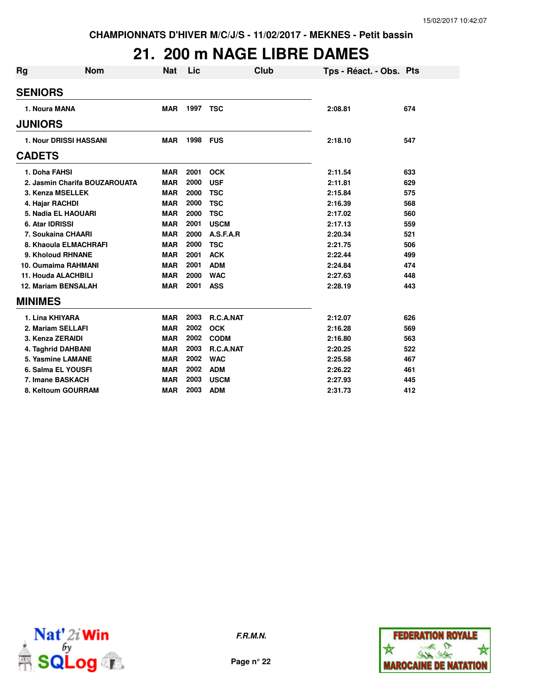# **21. 200 m NAGE LIBRE DAMES**

| Rg                | Nom                           | <b>Nat</b> | Lic      |             | Club | Tps - Réact. - Obs. Pts |     |
|-------------------|-------------------------------|------------|----------|-------------|------|-------------------------|-----|
| <b>SENIORS</b>    |                               |            |          |             |      |                         |     |
| 1. Noura MANA     |                               | <b>MAR</b> | 1997 TSC |             |      | 2:08.81                 | 674 |
| <b>JUNIORS</b>    |                               |            |          |             |      |                         |     |
|                   | 1. Nour DRISSI HASSANI        | <b>MAR</b> | 1998     | <b>FUS</b>  |      | 2:18.10                 | 547 |
| <b>CADETS</b>     |                               |            |          |             |      |                         |     |
| 1. Doha FAHSI     |                               | <b>MAR</b> | 2001     | <b>OCK</b>  |      | 2:11.54                 | 633 |
|                   | 2. Jasmin Charifa BOUZAROUATA | <b>MAR</b> | 2000     | <b>USF</b>  |      | 2:11.81                 | 629 |
|                   | 3. Kenza MSELLEK              | <b>MAR</b> | 2000     | <b>TSC</b>  |      | 2:15.84                 | 575 |
| 4. Hajar RACHDI   |                               | <b>MAR</b> | 2000     | <b>TSC</b>  |      | 2:16.39                 | 568 |
|                   | 5. Nadia EL HAOUARI           | <b>MAR</b> | 2000     | <b>TSC</b>  |      | 2:17.02                 | 560 |
| 6. Atar IDRISSI   |                               | <b>MAR</b> | 2001     | <b>USCM</b> |      | 2:17.13                 | 559 |
|                   | 7. Soukaina CHAARI            | <b>MAR</b> | 2000     | A.S.F.A.R   |      | 2:20.34                 | 521 |
|                   | 8. Khaoula ELMACHRAFI         | <b>MAR</b> | 2000     | <b>TSC</b>  |      | 2:21.75                 | 506 |
|                   | 9. Kholoud RHNANE             | <b>MAR</b> | 2001     | <b>ACK</b>  |      | 2:22.44                 | 499 |
|                   | <b>10. Oumaima RAHMANI</b>    | <b>MAR</b> | 2001     | <b>ADM</b>  |      | 2:24.84                 | 474 |
|                   | 11. Houda ALACHBILI           | <b>MAR</b> | 2000     | <b>WAC</b>  |      | 2:27.63                 | 448 |
|                   | <b>12. Mariam BENSALAH</b>    | <b>MAR</b> | 2001     | <b>ASS</b>  |      | 2:28.19                 | 443 |
| <b>MINIMES</b>    |                               |            |          |             |      |                         |     |
| 1. Lina KHIYARA   |                               | <b>MAR</b> | 2003     | R.C.A.NAT   |      | 2:12.07                 | 626 |
| 2. Mariam SELLAFI |                               | <b>MAR</b> | 2002     | <b>OCK</b>  |      | 2:16.28                 | 569 |
| 3. Kenza ZERAIDI  |                               | <b>MAR</b> | 2002     | <b>CODM</b> |      | 2:16.80                 | 563 |
|                   | 4. Taghrid DAHBANI            | <b>MAR</b> | 2003     | R.C.A.NAT   |      | 2:20.25                 | 522 |
|                   | 5. Yasmine LAMANE             | <b>MAR</b> | 2002     | <b>WAC</b>  |      | 2:25.58                 | 467 |
|                   | 6. Salma EL YOUSFI            | <b>MAR</b> | 2002     | <b>ADM</b>  |      | 2:26.22                 | 461 |
| 7. Imane BASKACH  |                               | <b>MAR</b> | 2003     | <b>USCM</b> |      | 2:27.93                 | 445 |
|                   | 8. Keltoum GOURRAM            | <b>MAR</b> | 2003     | <b>ADM</b>  |      | 2:31.73                 | 412 |



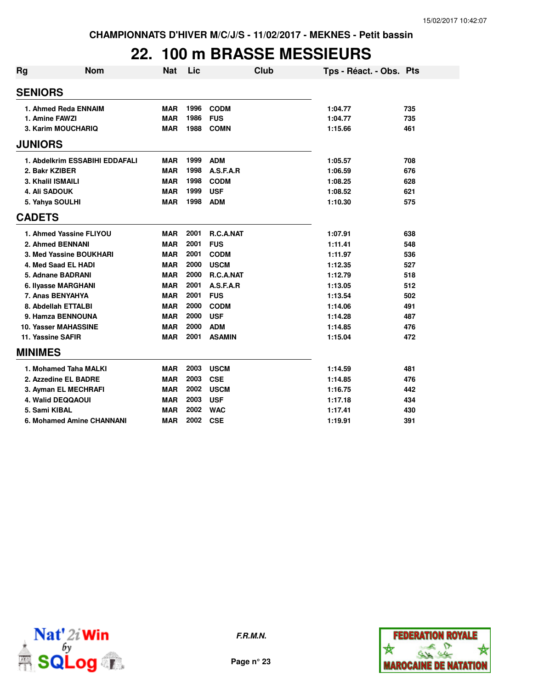# **22. 100 m BRASSE MESSIEURS**

| Rg                | Nom                            | <b>Nat</b> | Lic  |               | Club | Tps - Réact. - Obs. Pts |     |
|-------------------|--------------------------------|------------|------|---------------|------|-------------------------|-----|
| <b>SENIORS</b>    |                                |            |      |               |      |                         |     |
|                   | 1. Ahmed Reda ENNAIM           | <b>MAR</b> | 1996 | <b>CODM</b>   |      | 1:04.77                 | 735 |
| 1. Amine FAWZI    |                                | <b>MAR</b> | 1986 | <b>FUS</b>    |      | 1:04.77                 | 735 |
|                   | 3. Karim MOUCHARIQ             | <b>MAR</b> | 1988 | <b>COMN</b>   |      | 1:15.66                 | 461 |
| <b>JUNIORS</b>    |                                |            |      |               |      |                         |     |
|                   | 1. Abdelkrim ESSABIHI EDDAFALI | <b>MAR</b> | 1999 | <b>ADM</b>    |      | 1:05.57                 | 708 |
| 2. Bakr KZIBER    |                                | <b>MAR</b> | 1998 | A.S.F.A.R     |      | 1:06.59                 | 676 |
| 3. Khalil ISMAILI |                                | <b>MAR</b> | 1998 | <b>CODM</b>   |      | 1:08.25                 | 628 |
| 4. Ali SADOUK     |                                | <b>MAR</b> | 1999 | <b>USF</b>    |      | 1:08.52                 | 621 |
| 5. Yahya SOULHI   |                                | <b>MAR</b> | 1998 | <b>ADM</b>    |      | 1:10.30                 | 575 |
| <b>CADETS</b>     |                                |            |      |               |      |                         |     |
|                   | 1. Ahmed Yassine FLIYOU        | <b>MAR</b> | 2001 | R.C.A.NAT     |      | 1:07.91                 | 638 |
|                   | 2. Ahmed BENNANI               | <b>MAR</b> | 2001 | <b>FUS</b>    |      | 1:11.41                 | 548 |
|                   | 3. Med Yassine BOUKHARI        | <b>MAR</b> | 2001 | <b>CODM</b>   |      | 1:11.97                 | 536 |
|                   | 4. Med Saad EL HADI            | <b>MAR</b> | 2000 | <b>USCM</b>   |      | 1:12.35                 | 527 |
|                   | 5. Adnane BADRANI              | <b>MAR</b> | 2000 | R.C.A.NAT     |      | 1:12.79                 | 518 |
|                   | 6. Ilyasse MARGHANI            | <b>MAR</b> | 2001 | A.S.F.A.R     |      | 1:13.05                 | 512 |
|                   | 7. Anas BENYAHYA               | <b>MAR</b> | 2001 | <b>FUS</b>    |      | 1:13.54                 | 502 |
|                   | 8. Abdellah ETTALBI            | <b>MAR</b> | 2000 | <b>CODM</b>   |      | 1:14.06                 | 491 |
|                   | 9. Hamza BENNOUNA              | <b>MAR</b> | 2000 | <b>USF</b>    |      | 1:14.28                 | 487 |
|                   | <b>10. Yasser MAHASSINE</b>    | <b>MAR</b> | 2000 | <b>ADM</b>    |      | 1:14.85                 | 476 |
| 11. Yassine SAFIR |                                | <b>MAR</b> | 2001 | <b>ASAMIN</b> |      | 1:15.04                 | 472 |
| <b>MINIMES</b>    |                                |            |      |               |      |                         |     |
|                   | 1. Mohamed Taha MALKI          | <b>MAR</b> | 2003 | <b>USCM</b>   |      | 1:14.59                 | 481 |
|                   | 2. Azzedine EL BADRE           | <b>MAR</b> | 2003 | <b>CSE</b>    |      | 1:14.85                 | 476 |
|                   | 3. Ayman EL MECHRAFI           | <b>MAR</b> | 2002 | <b>USCM</b>   |      | 1:16.75                 | 442 |
|                   | <b>4. Walid DEQQAOUI</b>       | <b>MAR</b> | 2003 | <b>USF</b>    |      | 1:17.18                 | 434 |
| 5. Sami KIBAL     |                                | <b>MAR</b> | 2002 | <b>WAC</b>    |      | 1:17.41                 | 430 |
|                   | 6. Mohamed Amine CHANNANI      | <b>MAR</b> | 2002 | <b>CSE</b>    |      | 1:19.91                 | 391 |



**F.R.M.N.**

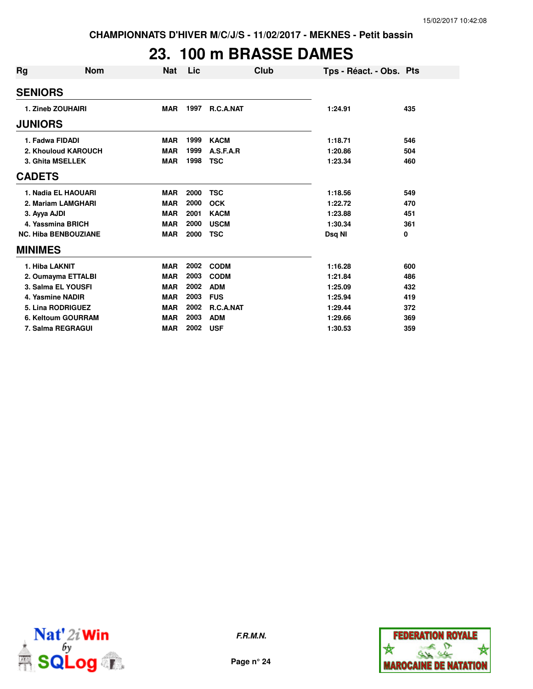# **23. 100 m BRASSE DAMES**

| Rg                 | Nom                         | <b>Nat</b> | Lic  | Club        | Tps - Réact. - Obs. Pts |     |
|--------------------|-----------------------------|------------|------|-------------|-------------------------|-----|
| <b>SENIORS</b>     |                             |            |      |             |                         |     |
| 1. Zineb ZOUHAIRI  |                             | <b>MAR</b> | 1997 | R.C.A.NAT   | 1:24.91                 | 435 |
| <b>JUNIORS</b>     |                             |            |      |             |                         |     |
| 1. Fadwa FIDADI    |                             | <b>MAR</b> | 1999 | <b>KACM</b> | 1:18.71                 | 546 |
|                    | 2. Khouloud KAROUCH         | <b>MAR</b> | 1999 | A.S.F.A.R   | 1:20.86                 | 504 |
| 3. Ghita MSELLEK   |                             | <b>MAR</b> | 1998 | <b>TSC</b>  | 1:23.34                 | 460 |
| <b>CADETS</b>      |                             |            |      |             |                         |     |
|                    | 1. Nadia EL HAOUARI         | <b>MAR</b> | 2000 | <b>TSC</b>  | 1:18.56                 | 549 |
|                    | 2. Mariam LAMGHARI          | <b>MAR</b> | 2000 | <b>OCK</b>  | 1:22.72                 | 470 |
| 3. Ayya AJDI       |                             | <b>MAR</b> | 2001 | <b>KACM</b> | 1:23.88                 | 451 |
| 4. Yassmina BRICH  |                             | <b>MAR</b> | 2000 | <b>USCM</b> | 1:30.34                 | 361 |
|                    | <b>NC. Hiba BENBOUZIANE</b> | <b>MAR</b> | 2000 | <b>TSC</b>  | Dsq NI                  | 0   |
| <b>MINIMES</b>     |                             |            |      |             |                         |     |
| 1. Hiba LAKNIT     |                             | <b>MAR</b> | 2002 | <b>CODM</b> | 1:16.28                 | 600 |
|                    | 2. Oumayma ETTALBI          | <b>MAR</b> | 2003 | <b>CODM</b> | 1:21.84                 | 486 |
| 3. Salma EL YOUSFI |                             | <b>MAR</b> | 2002 | <b>ADM</b>  | 1:25.09                 | 432 |
| 4. Yasmine NADIR   |                             | <b>MAR</b> | 2003 | <b>FUS</b>  | 1:25.94                 | 419 |
| 5. Lina RODRIGUEZ  |                             | <b>MAR</b> | 2002 | R.C.A.NAT   | 1:29.44                 | 372 |
|                    | 6. Keltoum GOURRAM          | <b>MAR</b> | 2003 | <b>ADM</b>  | 1:29.66                 | 369 |
| 7. Salma REGRAGUI  |                             | <b>MAR</b> | 2002 | <b>USF</b>  | 1:30.53                 | 359 |



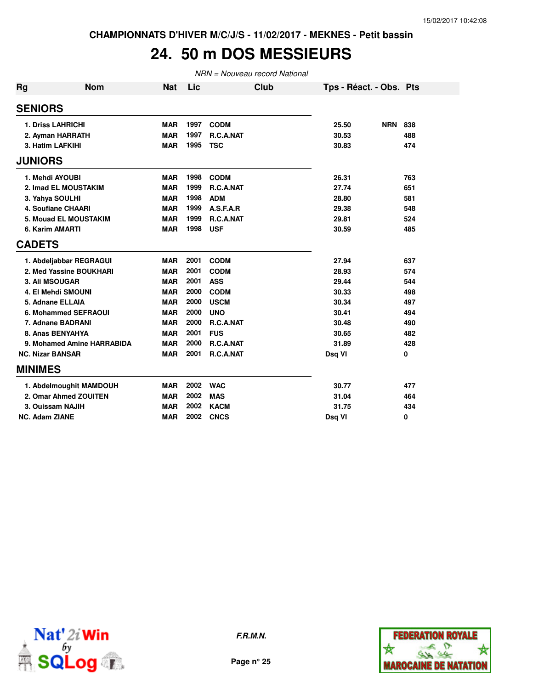### **24. 50 m DOS MESSIEURS**

| <b>Rg</b> | <b>Nom</b>                 | Nat        | Lic  | Club        | Tps - Réact. - Obs. Pts |                   |
|-----------|----------------------------|------------|------|-------------|-------------------------|-------------------|
|           | <b>SENIORS</b>             |            |      |             |                         |                   |
|           | <b>1. Driss LAHRICHI</b>   | <b>MAR</b> | 1997 | <b>CODM</b> | 25.50                   | <b>NRN</b><br>838 |
|           | 2. Ayman HARRATH           | <b>MAR</b> | 1997 | R.C.A.NAT   | 30.53                   | 488               |
|           | 3. Hatim LAFKIHI           | <b>MAR</b> | 1995 | <b>TSC</b>  | 30.83                   | 474               |
|           | <b>JUNIORS</b>             |            |      |             |                         |                   |
|           | 1. Mehdi AYOUBI            | MAR        | 1998 | <b>CODM</b> | 26.31                   | 763               |
|           | 2. Imad EL MOUSTAKIM       | <b>MAR</b> | 1999 | R.C.A.NAT   | 27.74                   | 651               |
|           | 3. Yahya SOULHI            | <b>MAR</b> | 1998 | <b>ADM</b>  | 28.80                   | 581               |
|           | <b>4. Soufiane CHAARI</b>  | <b>MAR</b> | 1999 | A.S.F.A.R   | 29.38                   | 548               |
|           | 5. Mouad EL MOUSTAKIM      | <b>MAR</b> | 1999 | R.C.A.NAT   | 29.81                   | 524               |
|           | 6. Karim AMARTI            | <b>MAR</b> | 1998 | <b>USF</b>  | 30.59                   | 485               |
|           | <b>CADETS</b>              |            |      |             |                         |                   |
|           | 1. Abdeljabbar REGRAGUI    | <b>MAR</b> | 2001 | <b>CODM</b> | 27.94                   | 637               |
|           | 2. Med Yassine BOUKHARI    | <b>MAR</b> | 2001 | <b>CODM</b> | 28.93                   | 574               |
|           | 3. Ali MSOUGAR             | <b>MAR</b> | 2001 | <b>ASS</b>  | 29.44                   | 544               |
|           | 4. El Mehdi SMOUNI         | <b>MAR</b> | 2000 | <b>CODM</b> | 30.33                   | 498               |
|           | 5. Adnane ELLAIA           | <b>MAR</b> | 2000 | <b>USCM</b> | 30.34                   | 497               |
|           | 6. Mohammed SEFRAOUI       | <b>MAR</b> | 2000 | <b>UNO</b>  | 30.41                   | 494               |
|           | 7. Adnane BADRANI          | <b>MAR</b> | 2000 | R.C.A.NAT   | 30.48                   | 490               |
|           | 8. Anas BENYAHYA           | <b>MAR</b> | 2001 | <b>FUS</b>  | 30.65                   | 482               |
|           | 9. Mohamed Amine HARRABIDA | <b>MAR</b> | 2000 | R.C.A.NAT   | 31.89                   | 428               |
|           | <b>NC. Nizar BANSAR</b>    | <b>MAR</b> | 2001 | R.C.A.NAT   | Dsq VI                  | 0                 |
|           | <b>MINIMES</b>             |            |      |             |                         |                   |
|           | 1. Abdelmoughit MAMDOUH    | <b>MAR</b> | 2002 | <b>WAC</b>  | 30.77                   | 477               |
|           | 2. Omar Ahmed ZOUITEN      | <b>MAR</b> | 2002 | <b>MAS</b>  | 31.04                   | 464               |
|           | 3. Ouissam NAJIH           | <b>MAR</b> | 2002 | <b>KACM</b> | 31.75                   | 434               |
|           | <b>NC. Adam ZIANE</b>      | <b>MAR</b> | 2002 | <b>CNCS</b> | Dsq VI                  | 0                 |



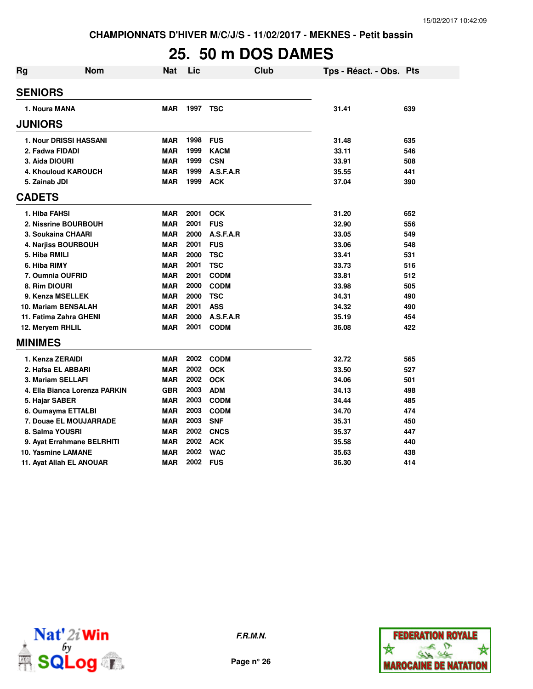# **25. 50 m DOS DAMES**

| Rg               | <b>Nom</b>                    | <b>Nat</b> | Lic  | Club        | Tps - Réact. - Obs. Pts |     |
|------------------|-------------------------------|------------|------|-------------|-------------------------|-----|
| <b>SENIORS</b>   |                               |            |      |             |                         |     |
| 1. Noura MANA    |                               | <b>MAR</b> |      | 1997 TSC    | 31.41                   | 639 |
| <b>JUNIORS</b>   |                               |            |      |             |                         |     |
|                  | <b>1. Nour DRISSI HASSANI</b> | <b>MAR</b> | 1998 | <b>FUS</b>  | 31.48                   | 635 |
| 2. Fadwa FIDADI  |                               | <b>MAR</b> | 1999 | <b>KACM</b> | 33.11                   | 546 |
| 3. Aida DIOURI   |                               | <b>MAR</b> | 1999 | <b>CSN</b>  | 33.91                   | 508 |
|                  | 4. Khouloud KAROUCH           | <b>MAR</b> | 1999 | A.S.F.A.R   | 35.55                   | 441 |
| 5. Zainab JDI    |                               | <b>MAR</b> | 1999 | <b>ACK</b>  | 37.04                   | 390 |
| <b>CADETS</b>    |                               |            |      |             |                         |     |
| 1. Hiba FAHSI    |                               | <b>MAR</b> | 2001 | <b>OCK</b>  | 31.20                   | 652 |
|                  | 2. Nissrine BOURBOUH          | <b>MAR</b> | 2001 | <b>FUS</b>  | 32.90                   | 556 |
|                  | 3. Soukaina CHAARI            | <b>MAR</b> | 2000 | A.S.F.A.R   | 33.05                   | 549 |
|                  | 4. Nariiss BOURBOUH           | <b>MAR</b> | 2001 | <b>FUS</b>  | 33.06                   | 548 |
| 5. Hiba RMILI    |                               | <b>MAR</b> | 2000 | <b>TSC</b>  | 33.41                   | 531 |
| 6. Hiba RIMY     |                               | <b>MAR</b> | 2001 | <b>TSC</b>  | 33.73                   | 516 |
|                  | 7. Oumnia OUFRID              | <b>MAR</b> | 2001 | <b>CODM</b> | 33.81                   | 512 |
| 8. Rim DIOURI    |                               | <b>MAR</b> | 2000 | <b>CODM</b> | 33.98                   | 505 |
|                  | 9. Kenza MSELLEK              | <b>MAR</b> | 2000 | <b>TSC</b>  | 34.31                   | 490 |
|                  | 10. Mariam BENSALAH           | <b>MAR</b> | 2001 | <b>ASS</b>  | 34.32                   | 490 |
|                  | 11. Fatima Zahra GHENI        | <b>MAR</b> | 2000 | A.S.F.A.R   | 35.19                   | 454 |
| 12. Meryem RHLIL |                               | <b>MAR</b> | 2001 | <b>CODM</b> | 36.08                   | 422 |
| <b>MINIMES</b>   |                               |            |      |             |                         |     |
| 1. Kenza ZERAIDI |                               | <b>MAR</b> | 2002 | <b>CODM</b> | 32.72                   | 565 |
|                  | 2. Hafsa EL ABBARI            | <b>MAR</b> | 2002 | <b>OCK</b>  | 33.50                   | 527 |
|                  | 3. Mariam SELLAFI             | <b>MAR</b> | 2002 | <b>OCK</b>  | 34.06                   | 501 |
|                  | 4. Ella Bianca Lorenza PARKIN | <b>GBR</b> | 2003 | <b>ADM</b>  | 34.13                   | 498 |
| 5. Hajar SABER   |                               | <b>MAR</b> | 2003 | <b>CODM</b> | 34.44                   | 485 |
|                  | 6. Oumayma ETTALBI            | <b>MAR</b> | 2003 | <b>CODM</b> | 34.70                   | 474 |
|                  | 7. Douae EL MOUJARRADE        | <b>MAR</b> | 2003 | <b>SNF</b>  | 35.31                   | 450 |
| 8. Salma YOUSRI  |                               | <b>MAR</b> | 2002 | <b>CNCS</b> | 35.37                   | 447 |
|                  | 9. Ayat Errahmane BELRHITI    | MAR        | 2002 | <b>ACK</b>  | 35.58                   | 440 |
|                  | <b>10. Yasmine LAMANE</b>     | <b>MAR</b> | 2002 | <b>WAC</b>  | 35.63                   | 438 |
|                  | 11. Ayat Allah EL ANOUAR      | <b>MAR</b> | 2002 | <b>FUS</b>  | 36.30                   | 414 |



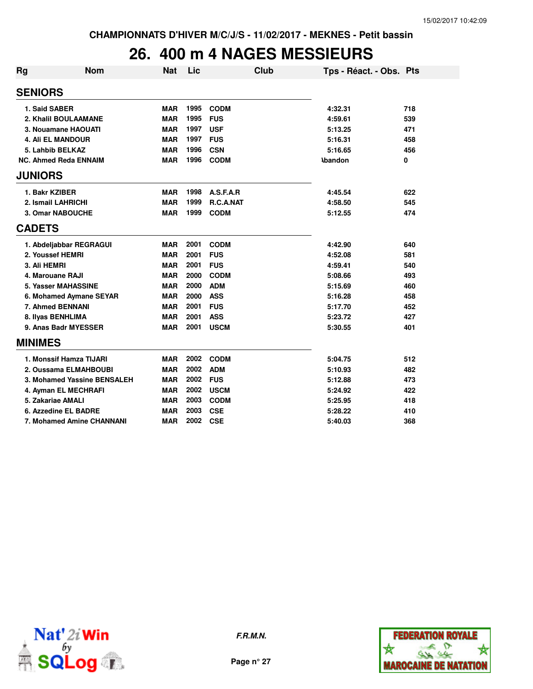# **26. 400 m 4 NAGES MESSIEURS**

| Rg             | <b>Nom</b>                   | <b>Nat</b> | Lic  |             | Club | Tps - Réact. - Obs. Pts |     |
|----------------|------------------------------|------------|------|-------------|------|-------------------------|-----|
| <b>SENIORS</b> |                              |            |      |             |      |                         |     |
| 1. Said SABER  |                              | <b>MAR</b> | 1995 | <b>CODM</b> |      | 4:32.31                 | 718 |
|                | 2. Khalil BOULAAMANE         | <b>MAR</b> | 1995 | <b>FUS</b>  |      | 4:59.61                 | 539 |
|                | 3. Nouamane HAOUATI          | <b>MAR</b> | 1997 | <b>USF</b>  |      | 5:13.25                 | 471 |
|                | <b>4. Ali EL MANDOUR</b>     | <b>MAR</b> | 1997 | <b>FUS</b>  |      | 5:16.31                 | 458 |
|                | 5. Lahbib BELKAZ             | <b>MAR</b> | 1996 | <b>CSN</b>  |      | 5:16.65                 | 456 |
|                | <b>NC. Ahmed Reda ENNAIM</b> | <b>MAR</b> | 1996 | <b>CODM</b> |      | <b>Abandon</b>          | 0   |
| <b>JUNIORS</b> |                              |            |      |             |      |                         |     |
| 1. Bakr KZIBER |                              | <b>MAR</b> | 1998 | A.S.F.A.R   |      | 4:45.54                 | 622 |
|                | 2. Ismail LAHRICHI           | <b>MAR</b> | 1999 | R.C.A.NAT   |      | 4:58.50                 | 545 |
|                | 3. Omar NABOUCHE             | <b>MAR</b> | 1999 | <b>CODM</b> |      | 5:12.55                 | 474 |
| <b>CADETS</b>  |                              |            |      |             |      |                         |     |
|                | 1. Abdeljabbar REGRAGUI      | <b>MAR</b> | 2001 | <b>CODM</b> |      | 4:42.90                 | 640 |
|                | 2. Youssef HEMRI             | <b>MAR</b> | 2001 | <b>FUS</b>  |      | 4:52.08                 | 581 |
| 3. Ali HEMRI   |                              | <b>MAR</b> | 2001 | <b>FUS</b>  |      | 4:59.41                 | 540 |
|                | 4. Marouane RAJI             | <b>MAR</b> | 2000 | <b>CODM</b> |      | 5:08.66                 | 493 |
|                | <b>5. Yasser MAHASSINE</b>   | <b>MAR</b> | 2000 | <b>ADM</b>  |      | 5:15.69                 | 460 |
|                | 6. Mohamed Aymane SEYAR      | <b>MAR</b> | 2000 | <b>ASS</b>  |      | 5:16.28                 | 458 |
|                | 7. Ahmed BENNANI             | <b>MAR</b> | 2001 | <b>FUS</b>  |      | 5:17.70                 | 452 |
|                | 8. Ilyas BENHLIMA            | <b>MAR</b> | 2001 | <b>ASS</b>  |      | 5:23.72                 | 427 |
|                | 9. Anas Badr MYESSER         | <b>MAR</b> | 2001 | <b>USCM</b> |      | 5:30.55                 | 401 |
| <b>MINIMES</b> |                              |            |      |             |      |                         |     |
|                | 1. Monssif Hamza TIJARI      | <b>MAR</b> | 2002 | <b>CODM</b> |      | 5:04.75                 | 512 |
|                | 2. Oussama ELMAHBOUBI        | <b>MAR</b> | 2002 | <b>ADM</b>  |      | 5:10.93                 | 482 |
|                | 3. Mohamed Yassine BENSALEH  | <b>MAR</b> | 2002 | <b>FUS</b>  |      | 5:12.88                 | 473 |
|                | 4. Ayman EL MECHRAFI         | <b>MAR</b> | 2002 | <b>USCM</b> |      | 5:24.92                 | 422 |
|                | 5. Zakariae AMALI            | <b>MAR</b> | 2003 | <b>CODM</b> |      | 5:25.95                 | 418 |
|                | 6. Azzedine EL BADRE         | <b>MAR</b> | 2003 | <b>CSE</b>  |      | 5:28.22                 | 410 |
|                | 7. Mohamed Amine CHANNANI    | MAR        | 2002 | <b>CSE</b>  |      | 5:40.03                 | 368 |



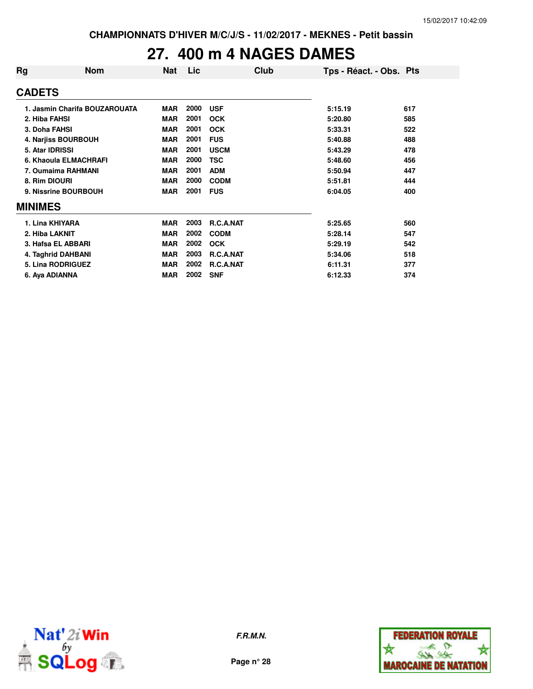### **27. 400 m 4 NAGES DAMES**

| Rg             | <b>Nom</b>                    | <b>Nat</b> | Lic  | Club        | Tps - Réact. - Obs. Pts |     |
|----------------|-------------------------------|------------|------|-------------|-------------------------|-----|
| <b>CADETS</b>  |                               |            |      |             |                         |     |
|                | 1. Jasmin Charifa BOUZAROUATA | <b>MAR</b> | 2000 | <b>USF</b>  | 5:15.19                 | 617 |
|                | 2. Hiba FAHSI                 | <b>MAR</b> | 2001 | <b>OCK</b>  | 5:20.80                 | 585 |
|                | 3. Doha FAHSI                 | <b>MAR</b> | 2001 | <b>OCK</b>  | 5:33.31                 | 522 |
|                | 4. Narjiss BOURBOUH           | <b>MAR</b> | 2001 | <b>FUS</b>  | 5:40.88                 | 488 |
|                | 5. Atar IDRISSI               | <b>MAR</b> | 2001 | <b>USCM</b> | 5:43.29                 | 478 |
|                | 6. Khaoula ELMACHRAFI         | <b>MAR</b> | 2000 | <b>TSC</b>  | 5:48.60                 | 456 |
|                | 7. Oumaima RAHMANI            | <b>MAR</b> | 2001 | <b>ADM</b>  | 5:50.94                 | 447 |
|                | 8. Rim DIOURI                 | <b>MAR</b> | 2000 | <b>CODM</b> | 5:51.81                 | 444 |
|                | 9. Nissrine BOURBOUH          | <b>MAR</b> | 2001 | <b>FUS</b>  | 6:04.05                 | 400 |
| <b>MINIMES</b> |                               |            |      |             |                         |     |
|                | 1. Lina KHIYARA               | <b>MAR</b> | 2003 | R.C.A.NAT   | 5:25.65                 | 560 |
|                | 2. Hiba LAKNIT                | <b>MAR</b> | 2002 | <b>CODM</b> | 5:28.14                 | 547 |
|                | 3. Hafsa EL ABBARI            | <b>MAR</b> | 2002 | <b>OCK</b>  | 5:29.19                 | 542 |
|                | 4. Taghrid DAHBANI            | <b>MAR</b> | 2003 | R.C.A.NAT   | 5:34.06                 | 518 |
|                | <b>5. Lina RODRIGUEZ</b>      | <b>MAR</b> | 2002 | R.C.A.NAT   | 6:11.31                 | 377 |
|                | 6. Aya ADIANNA                | <b>MAR</b> | 2002 | <b>SNF</b>  | 6:12.33                 | 374 |



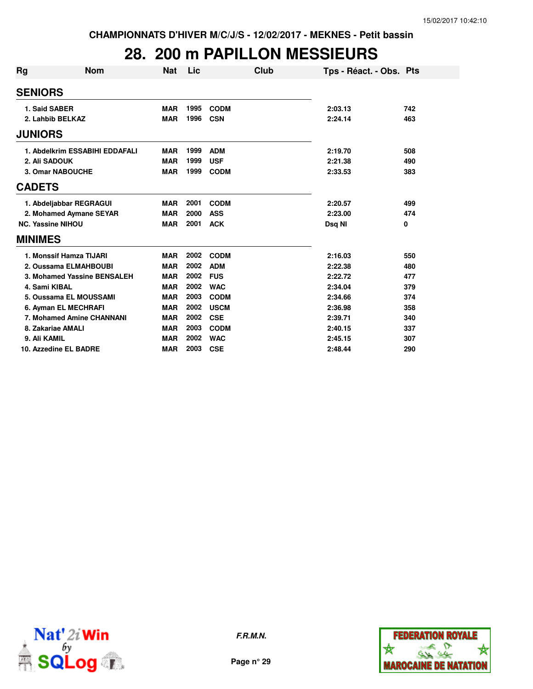# **28. 200 m PAPILLON MESSIEURS**

| Rg                       | Nom                            | Nat        | Lic  | Club        | Tps - Réact. - Obs. Pts |     |
|--------------------------|--------------------------------|------------|------|-------------|-------------------------|-----|
| <b>SENIORS</b>           |                                |            |      |             |                         |     |
| 1. Said SABER            |                                | <b>MAR</b> | 1995 | <b>CODM</b> | 2:03.13                 | 742 |
| 2. Lahbib BELKAZ         |                                | <b>MAR</b> | 1996 | <b>CSN</b>  | 2:24.14                 | 463 |
| <b>JUNIORS</b>           |                                |            |      |             |                         |     |
|                          | 1. Abdelkrim ESSABIHI EDDAFALI | <b>MAR</b> | 1999 | <b>ADM</b>  | 2:19.70                 | 508 |
| 2. Ali SADOUK            |                                | <b>MAR</b> | 1999 | <b>USF</b>  | 2:21.38                 | 490 |
|                          | 3. Omar NABOUCHE               | <b>MAR</b> | 1999 | <b>CODM</b> | 2:33.53                 | 383 |
| <b>CADETS</b>            |                                |            |      |             |                         |     |
|                          | 1. Abdeljabbar REGRAGUI        | <b>MAR</b> | 2001 | <b>CODM</b> | 2:20.57                 | 499 |
|                          | 2. Mohamed Aymane SEYAR        | <b>MAR</b> | 2000 | <b>ASS</b>  | 2:23.00                 | 474 |
| <b>NC. Yassine NIHOU</b> |                                | <b>MAR</b> | 2001 | <b>ACK</b>  | Dsq NI                  | 0   |
| <b>MINIMES</b>           |                                |            |      |             |                         |     |
|                          | 1. Monssif Hamza TIJARI        | <b>MAR</b> | 2002 | <b>CODM</b> | 2:16.03                 | 550 |
|                          | 2. Oussama ELMAHBOUBI          | <b>MAR</b> | 2002 | <b>ADM</b>  | 2:22.38                 | 480 |
|                          | 3. Mohamed Yassine BENSALEH    | <b>MAR</b> | 2002 | <b>FUS</b>  | 2:22.72                 | 477 |
| 4. Sami KIBAL            |                                | <b>MAR</b> | 2002 | <b>WAC</b>  | 2:34.04                 | 379 |
|                          | 5. Oussama EL MOUSSAMI         | <b>MAR</b> | 2003 | <b>CODM</b> | 2:34.66                 | 374 |
|                          | 6. Ayman EL MECHRAFI           | <b>MAR</b> | 2002 | <b>USCM</b> | 2:36.98                 | 358 |
|                          | 7. Mohamed Amine CHANNANI      | <b>MAR</b> | 2002 | <b>CSE</b>  | 2:39.71                 | 340 |
| 8. Zakariae AMALI        |                                | <b>MAR</b> | 2003 | <b>CODM</b> | 2:40.15                 | 337 |
| 9. Ali KAMIL             |                                | <b>MAR</b> | 2002 | <b>WAC</b>  | 2:45.15                 | 307 |
|                          | 10. Azzedine EL BADRE          | <b>MAR</b> | 2003 | <b>CSE</b>  | 2:48.44                 | 290 |



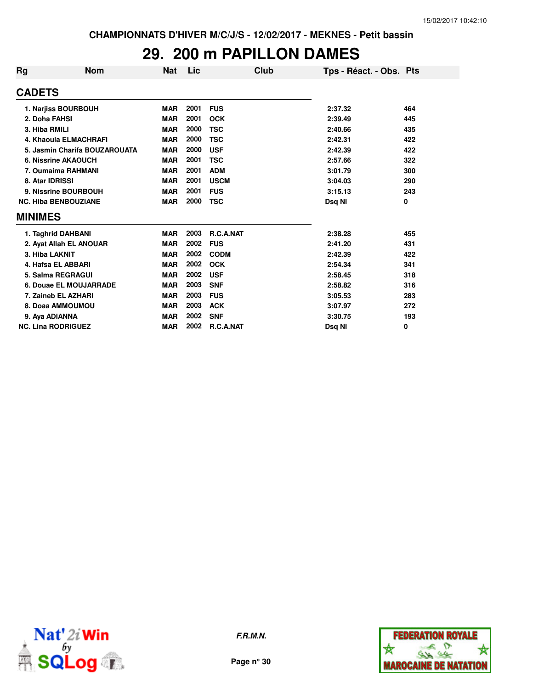### **29. 200 m PAPILLON DAMES**

| <b>Rg</b> | <b>Nom</b>                    | <b>Nat</b> | Lic  | Club        | Tps - Réact. - Obs. Pts |     |
|-----------|-------------------------------|------------|------|-------------|-------------------------|-----|
|           | <b>CADETS</b>                 |            |      |             |                         |     |
|           | 1. Narjiss BOURBOUH           | <b>MAR</b> | 2001 | <b>FUS</b>  | 2:37.32                 | 464 |
|           | 2. Doha FAHSI                 | <b>MAR</b> | 2001 | <b>OCK</b>  | 2:39.49                 | 445 |
|           | 3. Hiba RMILI                 | <b>MAR</b> | 2000 | <b>TSC</b>  | 2:40.66                 | 435 |
|           | 4. Khaoula ELMACHRAFI         | <b>MAR</b> | 2000 | <b>TSC</b>  | 2:42.31                 | 422 |
|           | 5. Jasmin Charifa BOUZAROUATA | <b>MAR</b> | 2000 | <b>USF</b>  | 2:42.39                 | 422 |
|           | 6. Nissrine AKAOUCH           | <b>MAR</b> | 2001 | <b>TSC</b>  | 2:57.66                 | 322 |
|           | 7. Oumaima RAHMANI            | <b>MAR</b> | 2001 | <b>ADM</b>  | 3:01.79                 | 300 |
|           | 8. Atar IDRISSI               | <b>MAR</b> | 2001 | <b>USCM</b> | 3:04.03                 | 290 |
|           | 9. Nissrine BOURBOUH          | <b>MAR</b> | 2001 | <b>FUS</b>  | 3:15.13                 | 243 |
|           | <b>NC. Hiba BENBOUZIANE</b>   | <b>MAR</b> | 2000 | <b>TSC</b>  | Dsg NI                  | 0   |
|           | <b>MINIMES</b>                |            |      |             |                         |     |
|           | 1. Taghrid DAHBANI            | <b>MAR</b> | 2003 | R.C.A.NAT   | 2:38.28                 | 455 |
|           | 2. Ayat Allah EL ANOUAR       | <b>MAR</b> | 2002 | <b>FUS</b>  | 2:41.20                 | 431 |
|           | 3. Hiba LAKNIT                | <b>MAR</b> | 2002 | <b>CODM</b> | 2:42.39                 | 422 |
|           | 4. Hafsa EL ABBARI            | <b>MAR</b> | 2002 | <b>OCK</b>  | 2:54.34                 | 341 |
|           | 5. Salma REGRAGUI             | <b>MAR</b> | 2002 | <b>USF</b>  | 2:58.45                 | 318 |
|           | 6. Douae EL MOUJARRADE        | <b>MAR</b> | 2003 | <b>SNF</b>  | 2:58.82                 | 316 |
|           | 7. Zaineb EL AZHARI           | <b>MAR</b> | 2003 | <b>FUS</b>  | 3:05.53                 | 283 |
|           | 8. Doaa AMMOUMOU              | <b>MAR</b> | 2003 | <b>ACK</b>  | 3:07.97                 | 272 |
|           | 9. Aya ADIANNA                | <b>MAR</b> | 2002 | <b>SNF</b>  | 3:30.75                 | 193 |
|           | <b>NC. Lina RODRIGUEZ</b>     | <b>MAR</b> | 2002 | R.C.A.NAT   | Dsq NI                  | 0   |



**F.R.M.N.**

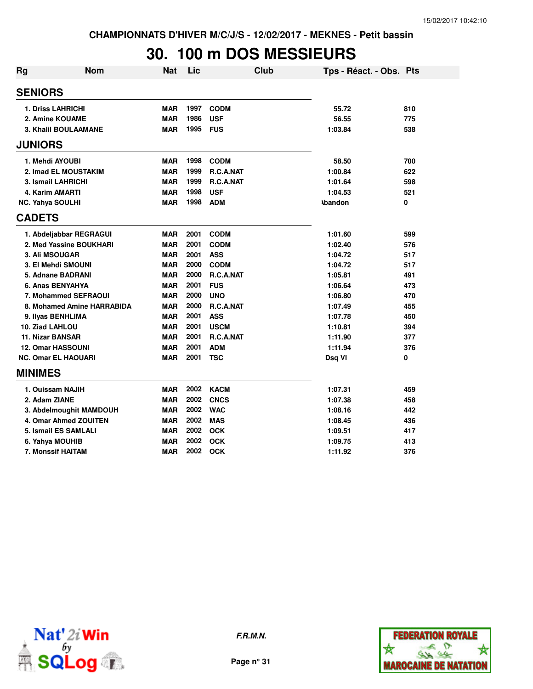# **30. 100 m DOS MESSIEURS**

| Rg                         | <b>Nom</b>                   | <b>Nat</b> | Lic  |                  | Club | Tps - Réact. - Obs. Pts |     |
|----------------------------|------------------------------|------------|------|------------------|------|-------------------------|-----|
| <b>SENIORS</b>             |                              |            |      |                  |      |                         |     |
| <b>1. Driss LAHRICHI</b>   |                              | <b>MAR</b> | 1997 | <b>CODM</b>      |      | 55.72                   | 810 |
| 2. Amine KOUAME            |                              | <b>MAR</b> | 1986 | <b>USF</b>       |      | 56.55                   | 775 |
|                            | 3. Khalil BOULAAMANE         | <b>MAR</b> | 1995 | <b>FUS</b>       |      | 1:03.84                 | 538 |
| <b>JUNIORS</b>             |                              |            |      |                  |      |                         |     |
| 1. Mehdi AYOUBI            |                              | <b>MAR</b> | 1998 | <b>CODM</b>      |      | 58.50                   | 700 |
|                            | 2. Imad EL MOUSTAKIM         | <b>MAR</b> | 1999 | R.C.A.NAT        |      | 1:00.84                 | 622 |
| 3. Ismail LAHRICHI         |                              | <b>MAR</b> | 1999 | <b>R.C.A.NAT</b> |      | 1:01.64                 | 598 |
| 4. Karim AMARTI            |                              | <b>MAR</b> | 1998 | <b>USF</b>       |      | 1:04.53                 | 521 |
| NC. Yahya SOULHI           |                              | <b>MAR</b> | 1998 | <b>ADM</b>       |      | <b>Abandon</b>          | 0   |
| <b>CADETS</b>              |                              |            |      |                  |      |                         |     |
|                            | 1. Abdeljabbar REGRAGUI      | <b>MAR</b> | 2001 | <b>CODM</b>      |      | 1:01.60                 | 599 |
|                            | 2. Med Yassine BOUKHARI      | <b>MAR</b> | 2001 | <b>CODM</b>      |      | 1:02.40                 | 576 |
| <b>3. Ali MSOUGAR</b>      |                              | <b>MAR</b> | 2001 | <b>ASS</b>       |      | 1:04.72                 | 517 |
| 3. El Mehdi SMOUNI         |                              | <b>MAR</b> | 2000 | <b>CODM</b>      |      | 1:04.72                 | 517 |
| 5. Adnane BADRANI          |                              | <b>MAR</b> | 2000 | R.C.A.NAT        |      | 1:05.81                 | 491 |
| 6. Anas BENYAHYA           |                              | <b>MAR</b> | 2001 | <b>FUS</b>       |      | 1:06.64                 | 473 |
|                            | 7. Mohammed SEFRAOUI         | <b>MAR</b> | 2000 | <b>UNO</b>       |      | 1:06.80                 | 470 |
|                            | 8. Mohamed Amine HARRABIDA   | <b>MAR</b> | 2000 | R.C.A.NAT        |      | 1:07.49                 | 455 |
| 9. Ilyas BENHLIMA          |                              | <b>MAR</b> | 2001 | <b>ASS</b>       |      | 1:07.78                 | 450 |
| 10. Ziad LAHLOU            |                              | <b>MAR</b> | 2001 | <b>USCM</b>      |      | 1:10.81                 | 394 |
| <b>11. Nizar BANSAR</b>    |                              | <b>MAR</b> | 2001 | R.C.A.NAT        |      | 1:11.90                 | 377 |
| <b>12. Omar HASSOUNI</b>   |                              | <b>MAR</b> | 2001 | <b>ADM</b>       |      | 1:11.94                 | 376 |
| <b>NC. Omar EL HAOUARI</b> |                              | <b>MAR</b> | 2001 | <b>TSC</b>       |      | Dsq VI                  | 0   |
| <b>MINIMES</b>             |                              |            |      |                  |      |                         |     |
| 1. Ouissam NAJIH           |                              | <b>MAR</b> | 2002 | <b>KACM</b>      |      | 1:07.31                 | 459 |
| 2. Adam ZIANE              |                              | <b>MAR</b> | 2002 | <b>CNCS</b>      |      | 1:07.38                 | 458 |
|                            | 3. Abdelmoughit MAMDOUH      | <b>MAR</b> | 2002 | <b>WAC</b>       |      | 1:08.16                 | 442 |
|                            | <b>4. Omar Ahmed ZOUITEN</b> | <b>MAR</b> | 2002 | <b>MAS</b>       |      | 1:08.45                 | 436 |
|                            | 5. Ismail ES SAMLALI         | <b>MAR</b> | 2002 | <b>OCK</b>       |      | 1:09.51                 | 417 |
| 6. Yahya MOUHIB            |                              | <b>MAR</b> | 2002 | <b>OCK</b>       |      | 1:09.75                 | 413 |
| 7. Monssif HAITAM          |                              | <b>MAR</b> | 2002 | <b>OCK</b>       |      | 1:11.92                 | 376 |





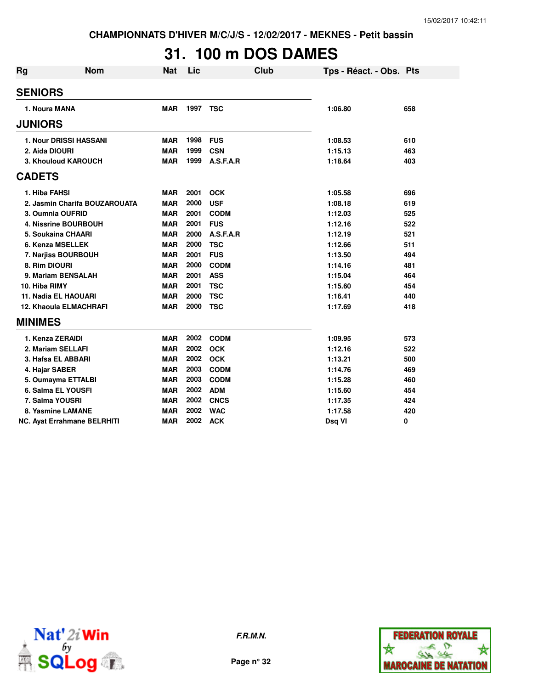# **31. 100 m DOS DAMES**

| Rg                        | Nom                                | <b>Nat</b> | Lic  |             | Club | Tps - Réact. - Obs. Pts |     |
|---------------------------|------------------------------------|------------|------|-------------|------|-------------------------|-----|
| <b>SENIORS</b>            |                                    |            |      |             |      |                         |     |
| 1. Noura MANA             |                                    | <b>MAR</b> | 1997 | <b>TSC</b>  |      | 1:06.80                 | 658 |
| <b>JUNIORS</b>            |                                    |            |      |             |      |                         |     |
|                           | <b>1. Nour DRISSI HASSANI</b>      | <b>MAR</b> | 1998 | <b>FUS</b>  |      | 1:08.53                 | 610 |
| 2. Aida DIOURI            |                                    | <b>MAR</b> | 1999 | <b>CSN</b>  |      | 1:15.13                 | 463 |
|                           | 3. Khouloud KAROUCH                | <b>MAR</b> | 1999 | A.S.F.A.R   |      | 1:18.64                 | 403 |
| <b>CADETS</b>             |                                    |            |      |             |      |                         |     |
| 1. Hiba FAHSI             |                                    | <b>MAR</b> | 2001 | <b>OCK</b>  |      | 1:05.58                 | 696 |
|                           | 2. Jasmin Charifa BOUZAROUATA      | <b>MAR</b> | 2000 | <b>USF</b>  |      | 1:08.18                 | 619 |
| 3. Oumnia OUFRID          |                                    | <b>MAR</b> | 2001 | <b>CODM</b> |      | 1:12.03                 | 525 |
|                           | 4. Nissrine BOURBOUH               | <b>MAR</b> | 2001 | <b>FUS</b>  |      | 1:12.16                 | 522 |
| <b>5. Soukaina CHAARI</b> |                                    | <b>MAR</b> | 2000 | A.S.F.A.R   |      | 1:12.19                 | 521 |
| 6. Kenza MSELLEK          |                                    | <b>MAR</b> | 2000 | <b>TSC</b>  |      | 1:12.66                 | 511 |
| 7. Narjiss BOURBOUH       |                                    | <b>MAR</b> | 2001 | <b>FUS</b>  |      | 1:13.50                 | 494 |
| 8. Rim DIOURI             |                                    | <b>MAR</b> | 2000 | <b>CODM</b> |      | 1:14.16                 | 481 |
| 9. Mariam BENSALAH        |                                    | <b>MAR</b> | 2001 | <b>ASS</b>  |      | 1:15.04                 | 464 |
| 10. Hiba RIMY             |                                    | <b>MAR</b> | 2001 | <b>TSC</b>  |      | 1:15.60                 | 454 |
| 11. Nadia EL HAOUARI      |                                    | <b>MAR</b> | 2000 | <b>TSC</b>  |      | 1:16.41                 | 440 |
|                           | <b>12. Khaoula ELMACHRAFI</b>      | <b>MAR</b> | 2000 | <b>TSC</b>  |      | 1:17.69                 | 418 |
| <b>MINIMES</b>            |                                    |            |      |             |      |                         |     |
| 1. Kenza ZERAIDI          |                                    | <b>MAR</b> | 2002 | <b>CODM</b> |      | 1:09.95                 | 573 |
| 2. Mariam SELLAFI         |                                    | <b>MAR</b> | 2002 | <b>OCK</b>  |      | 1:12.16                 | 522 |
| 3. Hafsa EL ABBARI        |                                    | <b>MAR</b> | 2002 | <b>OCK</b>  |      | 1:13.21                 | 500 |
| 4. Hajar SABER            |                                    | <b>MAR</b> | 2003 | <b>CODM</b> |      | 1:14.76                 | 469 |
| 5. Oumayma ETTALBI        |                                    | <b>MAR</b> | 2003 | <b>CODM</b> |      | 1:15.28                 | 460 |
| 6. Salma EL YOUSFI        |                                    | <b>MAR</b> | 2002 | <b>ADM</b>  |      | 1:15.60                 | 454 |
| 7. Salma YOUSRI           |                                    | <b>MAR</b> | 2002 | <b>CNCS</b> |      | 1:17.35                 | 424 |
| 8. Yasmine LAMANE         |                                    | <b>MAR</b> | 2002 | <b>WAC</b>  |      | 1:17.58                 | 420 |
|                           | <b>NC. Ayat Errahmane BELRHITI</b> | MAR        | 2002 | <b>ACK</b>  |      | Dsq VI                  | 0   |



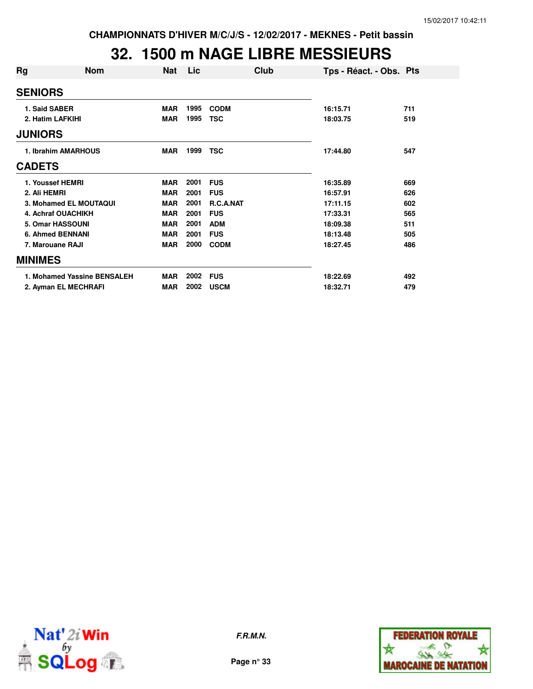# **32. 1500 m NAGE LIBRE MESSIEURS**

| <b>Nom</b>                  | <b>Nat</b> | Lic  | Club             |          |                         |
|-----------------------------|------------|------|------------------|----------|-------------------------|
| <b>SENIORS</b>              |            |      |                  |          |                         |
| 1. Said SABER               | <b>MAR</b> | 1995 | <b>CODM</b>      | 16:15.71 | 711                     |
| 2. Hatim LAFKIHI            | <b>MAR</b> | 1995 | <b>TSC</b>       | 18:03.75 | 519                     |
| <b>JUNIORS</b>              |            |      |                  |          |                         |
| 1. Ibrahim AMARHOUS         | <b>MAR</b> | 1999 | <b>TSC</b>       | 17:44.80 | 547                     |
| <b>CADETS</b>               |            |      |                  |          |                         |
| 1. Youssef HEMRI            | <b>MAR</b> | 2001 | <b>FUS</b>       | 16:35.89 | 669                     |
| 2. Ali HEMRI                | <b>MAR</b> | 2001 | <b>FUS</b>       | 16:57.91 | 626                     |
| 3. Mohamed EL MOUTAQUI      | <b>MAR</b> | 2001 | <b>R.C.A.NAT</b> | 17:11.15 | 602                     |
| <b>4. Achraf OUACHIKH</b>   | <b>MAR</b> | 2001 | <b>FUS</b>       | 17:33.31 | 565                     |
| 5. Omar HASSOUNI            | <b>MAR</b> | 2001 | <b>ADM</b>       | 18:09.38 | 511                     |
| <b>6. Ahmed BENNANI</b>     | <b>MAR</b> | 2001 | <b>FUS</b>       | 18:13.48 | 505                     |
| 7. Marouane RAJI            | <b>MAR</b> | 2000 | <b>CODM</b>      | 18:27.45 | 486                     |
| <b>MINIMES</b>              |            |      |                  |          |                         |
| 1. Mohamed Yassine BENSALEH | <b>MAR</b> | 2002 | <b>FUS</b>       | 18:22.69 | 492                     |
| 2. Ayman EL MECHRAFI        | MAR        | 2002 | <b>USCM</b>      | 18:32.71 | 479                     |
|                             |            |      |                  |          | Tps - Réact. - Obs. Pts |



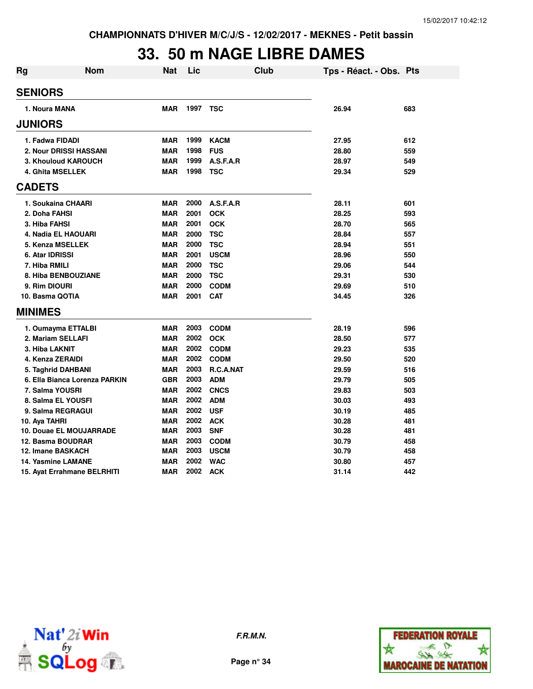#### **33. 50 m NAGE LIBRE DAMES Rg Nom Nat Lic Club Tps - Réact. - Obs. Pts**

| нg | NOM                           | Nat        | LIC  | Ciup        | Tps - React. - Obs. Pts |     |
|----|-------------------------------|------------|------|-------------|-------------------------|-----|
|    | <b>SENIORS</b>                |            |      |             |                         |     |
|    | 1. Noura MANA                 | <b>MAR</b> | 1997 | TSC         | 26.94                   | 683 |
|    | <b>JUNIORS</b>                |            |      |             |                         |     |
|    | 1. Fadwa FIDADI               | MAR        | 1999 | <b>KACM</b> | 27.95                   | 612 |
|    | 2. Nour DRISSI HASSANI        | <b>MAR</b> | 1998 | <b>FUS</b>  | 28.80                   | 559 |
|    | <b>3. Khouloud KAROUCH</b>    | <b>MAR</b> | 1999 | A.S.F.A.R   | 28.97                   | 549 |
|    | 4. Ghita MSELLEK              | <b>MAR</b> | 1998 | <b>TSC</b>  | 29.34                   | 529 |
|    | <b>CADETS</b>                 |            |      |             |                         |     |
|    | 1. Soukaina CHAARI            | <b>MAR</b> | 2000 | A.S.F.A.R   | 28.11                   | 601 |
|    | 2. Doha FAHSI                 | <b>MAR</b> | 2001 | <b>OCK</b>  | 28.25                   | 593 |
|    | 3. Hiba FAHSI                 | <b>MAR</b> | 2001 | <b>OCK</b>  | 28.70                   | 565 |
|    | 4. Nadia EL HAOUARI           | <b>MAR</b> | 2000 | <b>TSC</b>  | 28.84                   | 557 |
|    | 5. Kenza MSELLEK              | <b>MAR</b> | 2000 | <b>TSC</b>  | 28.94                   | 551 |
|    | 6. Atar IDRISSI               | <b>MAR</b> | 2001 | <b>USCM</b> | 28.96                   | 550 |
|    | 7. Hiba RMILI                 | <b>MAR</b> | 2000 | <b>TSC</b>  | 29.06                   | 544 |
|    | 8. Hiba BENBOUZIANE           | <b>MAR</b> | 2000 | <b>TSC</b>  | 29.31                   | 530 |
|    | 9. Rim DIOURI                 | <b>MAR</b> | 2000 | <b>CODM</b> | 29.69                   | 510 |
|    | 10. Basma QOTIA               | <b>MAR</b> | 2001 | <b>CAT</b>  | 34.45                   | 326 |
|    | <b>MINIMES</b>                |            |      |             |                         |     |
|    | 1. Oumayma ETTALBI            | <b>MAR</b> | 2003 | <b>CODM</b> | 28.19                   | 596 |
|    | 2. Mariam SELLAFI             | <b>MAR</b> | 2002 | <b>OCK</b>  | 28.50                   | 577 |
|    | 3. Hiba LAKNIT                | <b>MAR</b> | 2002 | <b>CODM</b> | 29.23                   | 535 |
|    | 4. Kenza ZERAIDI              | <b>MAR</b> | 2002 | <b>CODM</b> | 29.50                   | 520 |
|    | 5. Taghrid DAHBANI            | <b>MAR</b> | 2003 | R.C.A.NAT   | 29.59                   | 516 |
|    | 6. Ella Bianca Lorenza PARKIN | <b>GBR</b> | 2003 | <b>ADM</b>  | 29.79                   | 505 |
|    | 7. Salma YOUSRI               | <b>MAR</b> | 2002 | <b>CNCS</b> | 29.83                   | 503 |
|    | 8. Salma EL YOUSFI            | <b>MAR</b> | 2002 | <b>ADM</b>  | 30.03                   | 493 |
|    | 9. Salma REGRAGUI             | <b>MAR</b> | 2002 | <b>USF</b>  | 30.19                   | 485 |
|    | 10. Aya TAHRI                 | <b>MAR</b> | 2002 | <b>ACK</b>  | 30.28                   | 481 |
|    | 10. Douae EL MOUJARRADE       | <b>MAR</b> | 2003 | <b>SNF</b>  | 30.28                   | 481 |
|    | 12. Basma BOUDRAR             | <b>MAR</b> | 2003 | <b>CODM</b> | 30.79                   | 458 |
|    | 12. Imane BASKACH             | <b>MAR</b> | 2003 | <b>USCM</b> | 30.79                   | 458 |
|    | <b>14. Yasmine LAMANE</b>     | <b>MAR</b> | 2002 | <b>WAC</b>  | 30.80                   | 457 |
|    | 15. Ayat Errahmane BELRHITI   | <b>MAR</b> | 2002 | <b>ACK</b>  | 31.14                   | 442 |



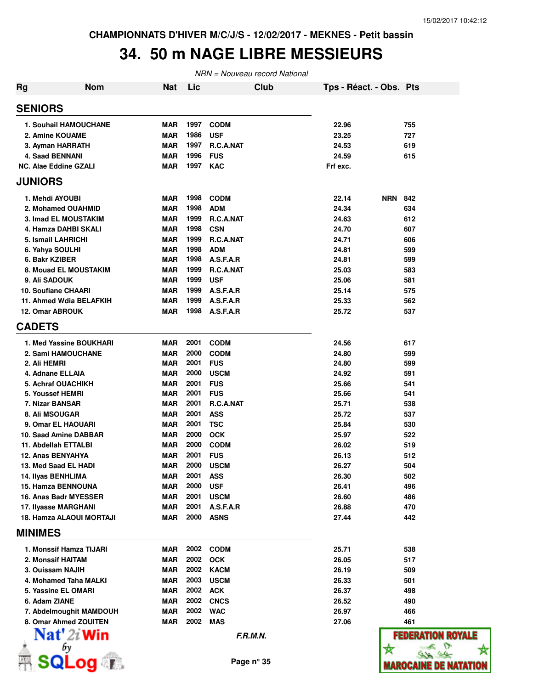☆

### **34. 50 m NAGE LIBRE MESSIEURS**

| <b>Rg</b>      | <b>Nom</b>                   | <b>Nat</b> | Lic  | <b>Club</b> | Tps - Réact. - Obs. Pts |                              |
|----------------|------------------------------|------------|------|-------------|-------------------------|------------------------------|
| <b>SENIORS</b> |                              |            |      |             |                         |                              |
|                | <b>1. Souhail HAMOUCHANE</b> | MAR        | 1997 | <b>CODM</b> | 22.96                   | 755                          |
|                | 2. Amine KOUAME              | MAR        | 1986 | <b>USF</b>  | 23.25                   | 727                          |
|                | 3. Ayman HARRATH             | MAR        | 1997 | R.C.A.NAT   | 24.53                   | 619                          |
|                | 4. Saad BENNANI              | <b>MAR</b> | 1996 | <b>FUS</b>  | 24.59                   | 615                          |
|                | <b>NC. Alae Eddine GZALI</b> | MAR        | 1997 | <b>KAC</b>  | Frf exc.                |                              |
| <b>JUNIORS</b> |                              |            |      |             |                         |                              |
|                | 1. Mehdi AYOUBI              | MAR        | 1998 | <b>CODM</b> | 22.14                   | <b>NRN</b><br>842            |
|                | 2. Mohamed OUAHMID           | <b>MAR</b> | 1998 | <b>ADM</b>  | 24.34                   | 634                          |
|                | <b>3. Imad EL MOUSTAKIM</b>  | <b>MAR</b> | 1999 | R.C.A.NAT   | 24.63                   | 612                          |
|                | 4. Hamza DAHBI SKALI         | <b>MAR</b> | 1998 | <b>CSN</b>  | 24.70                   | 607                          |
|                | 5. Ismail LAHRICHI           | <b>MAR</b> | 1999 | R.C.A.NAT   | 24.71                   | 606                          |
|                | 6. Yahya SOULHI              | <b>MAR</b> | 1998 | <b>ADM</b>  | 24.81                   | 599                          |
| 6. Bakr KZIBER |                              | <b>MAR</b> | 1998 | A.S.F.A.R   | 24.81                   | 599                          |
|                | 8. Mouad EL MOUSTAKIM        | <b>MAR</b> | 1999 | R.C.A.NAT   | 25.03                   | 583                          |
| 9. Ali SADOUK  |                              | <b>MAR</b> | 1999 | <b>USF</b>  | 25.06                   | 581                          |
|                | <b>10. Soufiane CHAARI</b>   | <b>MAR</b> | 1999 | A.S.F.A.R   | 25.14                   | 575                          |
|                | 11. Ahmed Wdia BELAFKIH      | <b>MAR</b> | 1999 | A.S.F.A.R   | 25.33                   | 562                          |
|                | 12. Omar ABROUK              | MAR        | 1998 | A.S.F.A.R   | 25.72                   | 537                          |
| <b>CADETS</b>  |                              |            |      |             |                         |                              |
|                | 1. Med Yassine BOUKHARI      | <b>MAR</b> | 2001 | <b>CODM</b> | 24.56                   | 617                          |
|                | 2. Sami HAMOUCHANE           | <b>MAR</b> | 2000 | <b>CODM</b> | 24.80                   | 599                          |
| 2. Ali HEMRI   |                              | MAR        | 2001 | <b>FUS</b>  | 24.80                   | 599                          |
|                | 4. Adnane ELLAIA             | MAR        | 2000 | <b>USCM</b> | 24.92                   | 591                          |
|                | 5. Achraf OUACHIKH           | <b>MAR</b> | 2001 | <b>FUS</b>  | 25.66                   | 541                          |
|                | 5. Youssef HEMRI             | MAR        | 2001 | <b>FUS</b>  | 25.66                   | 541                          |
|                | 7. Nizar BANSAR              | <b>MAR</b> | 2001 | R.C.A.NAT   | 25.71                   | 538                          |
|                | 8. Ali MSOUGAR               | MAR        | 2001 | <b>ASS</b>  | 25.72                   | 537                          |
|                | 9. Omar EL HAOUARI           | MAR        | 2001 | <b>TSC</b>  | 25.84                   | 530                          |
|                | 10. Saad Amine DABBAR        | <b>MAR</b> | 2000 | <b>OCK</b>  | 25.97                   | 522                          |
|                | 11. Abdellah ETTALBI         | MAR        | 2000 | <b>CODM</b> | 26.02                   | 519                          |
|                | 12. Anas BENYAHYA            | <b>MAR</b> | 2001 | <b>FUS</b>  | 26.13                   | 512                          |
|                | 13. Med Saad EL HADI         | MAR        | 2000 | <b>USCM</b> | 26.27                   | 504                          |
|                | 14. Ilyas BENHLIMA           | MAR        | 2001 | <b>ASS</b>  | 26.30                   | 502                          |
|                | 15. Hamza BENNOUNA           | <b>MAR</b> | 2000 | <b>USF</b>  | 26.41                   | 496                          |
|                | 16. Anas Badr MYESSER        | MAR        | 2001 | <b>USCM</b> | 26.60                   | 486                          |
|                | 17. Ilyasse MARGHANI         | <b>MAR</b> | 2001 | A.S.F.A.R   | 26.88                   | 470                          |
|                | 18. Hamza ALAOUI MORTAJI     | <b>MAR</b> | 2000 | <b>ASNS</b> | 27.44                   | 442                          |
| <b>MINIMES</b> |                              |            |      |             |                         |                              |
|                | 1. Monssif Hamza TIJARI      | MAR        | 2002 | <b>CODM</b> | 25.71                   | 538                          |
|                | 2. Monssif HAITAM            | MAR        | 2002 | <b>OCK</b>  | 26.05                   | 517                          |
|                | 3. Ouissam NAJIH             | <b>MAR</b> | 2002 | <b>KACM</b> | 26.19                   | 509                          |
|                | 4. Mohamed Taha MALKI        | MAR        | 2003 | <b>USCM</b> | 26.33                   | 501                          |
|                | 5. Yassine EL OMARI          | MAR        | 2002 | <b>ACK</b>  | 26.37                   | 498                          |
| 6. Adam ZIANE  |                              | <b>MAR</b> | 2002 | <b>CNCS</b> | 26.52                   | 490                          |
|                | 7. Abdelmoughit MAMDOUH      | <b>MAR</b> | 2002 | <b>WAC</b>  | 26.97                   | 466                          |
|                | 8. Omar Ahmed ZOUITEN        | MAR        | 2002 | <b>MAS</b>  | 27.06                   | 461                          |
|                | $\mathbf{Nat}'$ 2i Win       |            |      | F.R.M.N.    |                         | <b>FEDERATION ROYALE</b>     |
|                | bу                           |            |      |             |                         |                              |
|                | <b>SQLog</b>                 |            |      | Page n° 35  |                         | <b>WAROCAINE DE NATATION</b> |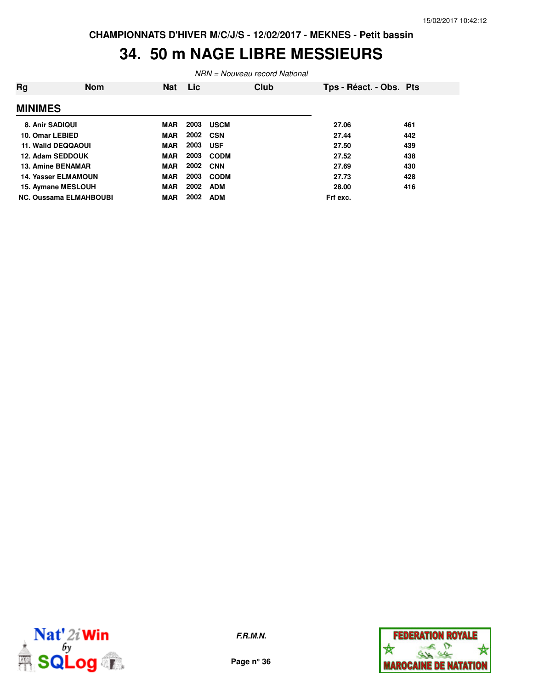### **34. 50 m NAGE LIBRE MESSIEURS**

| <b>Rg</b>      | <b>Nom</b>                    | <b>Nat</b> | Lic. | Club        | Tps - Réact. - Obs. Pts |     |
|----------------|-------------------------------|------------|------|-------------|-------------------------|-----|
| <b>MINIMES</b> |                               |            |      |             |                         |     |
|                | 8. Anir SADIQUI               | <b>MAR</b> | 2003 | <b>USCM</b> | 27.06                   | 461 |
|                | 10. Omar LEBIED               | <b>MAR</b> |      | 2002 CSN    | 27.44                   | 442 |
|                | 11. Walid DEQQAOUI            | <b>MAR</b> | 2003 | <b>USF</b>  | 27.50                   | 439 |
|                | 12. Adam SEDDOUK              | <b>MAR</b> | 2003 | <b>CODM</b> | 27.52                   | 438 |
|                | <b>13. Amine BENAMAR</b>      | <b>MAR</b> | 2002 | <b>CNN</b>  | 27.69                   | 430 |
|                | <b>14. Yasser ELMAMOUN</b>    | <b>MAR</b> | 2003 | <b>CODM</b> | 27.73                   | 428 |
|                | 15. Aymane MESLOUH            | <b>MAR</b> | 2002 | <b>ADM</b>  | 28.00                   | 416 |
|                | <b>NC. Oussama ELMAHBOUBI</b> | <b>MAR</b> | 2002 | <b>ADM</b>  | Frf exc.                |     |



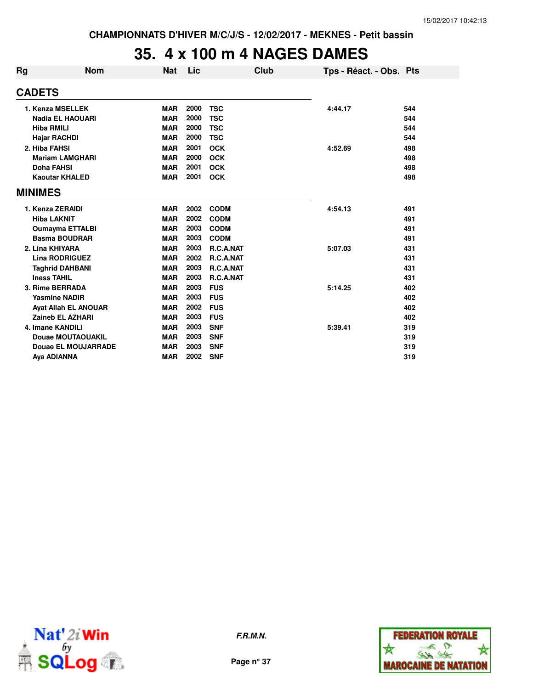### **35. 4 x 100 m 4 NAGES DAMES**

| Rg                                          | <b>Nom</b>                  | <b>Nat</b> | Lic  | Club        | Tps - Réact. - Obs. Pts |     |
|---------------------------------------------|-----------------------------|------------|------|-------------|-------------------------|-----|
| <b>CADETS</b>                               |                             |            |      |             |                         |     |
| 1. Kenza MSELLEK<br><b>Nadia EL HAOUARI</b> |                             | <b>MAR</b> | 2000 | <b>TSC</b>  | 4:44.17                 | 544 |
|                                             |                             | <b>MAR</b> | 2000 | <b>TSC</b>  |                         | 544 |
| <b>Hiba RMILI</b>                           |                             | <b>MAR</b> | 2000 | <b>TSC</b>  |                         | 544 |
| <b>Hajar RACHDI</b>                         |                             | <b>MAR</b> | 2000 | <b>TSC</b>  |                         | 544 |
| 2. Hiba FAHSI                               |                             | <b>MAR</b> | 2001 | <b>OCK</b>  | 4:52.69                 | 498 |
|                                             | <b>Mariam LAMGHARI</b>      | <b>MAR</b> | 2000 | <b>OCK</b>  |                         | 498 |
| <b>Doha FAHSI</b>                           |                             | <b>MAR</b> | 2001 | <b>OCK</b>  |                         | 498 |
|                                             | <b>Kaoutar KHALED</b>       | <b>MAR</b> | 2001 | <b>OCK</b>  |                         | 498 |
| <b>MINIMES</b>                              |                             |            |      |             |                         |     |
| 1. Kenza ZERAIDI                            |                             | <b>MAR</b> | 2002 | <b>CODM</b> | 4:54.13                 | 491 |
| <b>Hiba LAKNIT</b>                          |                             | <b>MAR</b> | 2002 | <b>CODM</b> |                         | 491 |
|                                             | <b>Oumayma ETTALBI</b>      | <b>MAR</b> | 2003 | <b>CODM</b> |                         | 491 |
|                                             | <b>Basma BOUDRAR</b>        | <b>MAR</b> | 2003 | <b>CODM</b> |                         | 491 |
| 2. Lina KHIYARA                             |                             | <b>MAR</b> | 2003 | R.C.A.NAT   | 5:07.03                 | 431 |
|                                             | <b>Lina RODRIGUEZ</b>       | <b>MAR</b> | 2002 | R.C.A.NAT   |                         | 431 |
|                                             | <b>Taghrid DAHBANI</b>      | <b>MAR</b> | 2003 | R.C.A.NAT   |                         | 431 |
| <b>Iness TAHIL</b>                          |                             | <b>MAR</b> | 2003 | R.C.A.NAT   |                         | 431 |
| 3. Rime BERRADA                             |                             | <b>MAR</b> | 2003 | <b>FUS</b>  | 5:14.25                 | 402 |
|                                             | <b>Yasmine NADIR</b>        | <b>MAR</b> | 2003 | <b>FUS</b>  |                         | 402 |
|                                             | <b>Ayat Allah EL ANOUAR</b> | <b>MAR</b> | 2002 | <b>FUS</b>  |                         | 402 |
|                                             | <b>Zaineb EL AZHARI</b>     | <b>MAR</b> | 2003 | <b>FUS</b>  |                         | 402 |
| 4. Imane KANDILI                            |                             | <b>MAR</b> | 2003 | <b>SNF</b>  | 5:39.41                 | 319 |
|                                             | <b>Douae MOUTAOUAKIL</b>    | <b>MAR</b> | 2003 | <b>SNF</b>  |                         | 319 |
|                                             | <b>Douae EL MOUJARRADE</b>  | <b>MAR</b> | 2003 | <b>SNF</b>  |                         | 319 |
| Aya ADIANNA                                 |                             | <b>MAR</b> | 2002 | <b>SNF</b>  |                         | 319 |



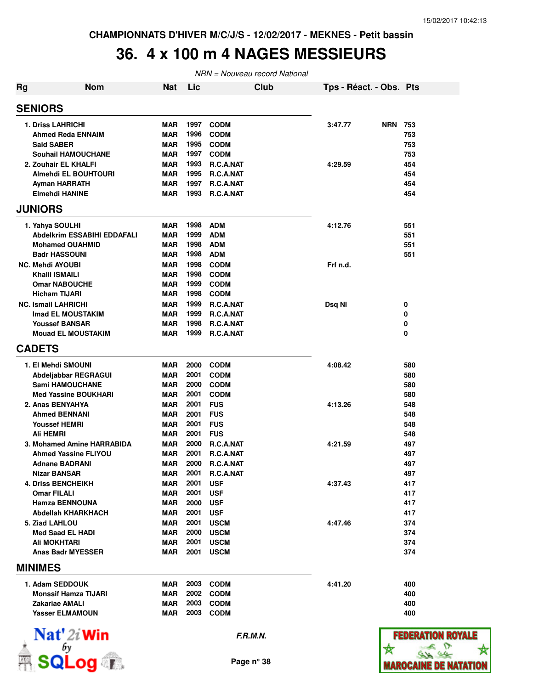### **36. 4 x 100 m 4 NAGES MESSIEURS**

| <b>Rg</b> | <b>Nom</b>                  | Nat        | Lic  |                  | <b>Club</b> | Tps - Réact. - Obs. Pts |            |                   |
|-----------|-----------------------------|------------|------|------------------|-------------|-------------------------|------------|-------------------|
|           | <b>SENIORS</b>              |            |      |                  |             |                         |            |                   |
|           | <b>1. Driss LAHRICHI</b>    | <b>MAR</b> | 1997 | <b>CODM</b>      |             | 3:47.77                 | <b>NRN</b> | 753               |
|           | <b>Ahmed Reda ENNAIM</b>    | <b>MAR</b> | 1996 | <b>CODM</b>      |             |                         |            | 753               |
|           | <b>Said SABER</b>           | <b>MAR</b> | 1995 | <b>CODM</b>      |             |                         |            | 753               |
|           | <b>Souhail HAMOUCHANE</b>   | <b>MAR</b> | 1997 | <b>CODM</b>      |             |                         |            | 753               |
|           | 2. Zouhair EL KHALFI        | <b>MAR</b> | 1993 | R.C.A.NAT        |             | 4:29.59                 |            | 454               |
|           | <b>Almehdi EL BOUHTOURI</b> | <b>MAR</b> | 1995 | <b>R.C.A.NAT</b> |             |                         |            | 454               |
|           | <b>Ayman HARRATH</b>        | <b>MAR</b> | 1997 | R.C.A.NAT        |             |                         |            | 454               |
|           | <b>Elmehdi HANINE</b>       | <b>MAR</b> | 1993 | R.C.A.NAT        |             |                         |            | 454               |
|           | <b>JUNIORS</b>              |            |      |                  |             |                         |            |                   |
|           | 1. Yahya SOULHI             | <b>MAR</b> | 1998 | <b>ADM</b>       |             | 4:12.76                 |            | 551               |
|           | Abdelkrim ESSABIHI EDDAFALI | <b>MAR</b> | 1999 | <b>ADM</b>       |             |                         |            | 551               |
|           | <b>Mohamed OUAHMID</b>      | <b>MAR</b> | 1998 | <b>ADM</b>       |             |                         |            | 551               |
|           | <b>Badr HASSOUNI</b>        | <b>MAR</b> | 1998 | <b>ADM</b>       |             |                         |            | 551               |
|           | <b>NC. Mehdi AYOUBI</b>     | <b>MAR</b> | 1998 | <b>CODM</b>      |             | Frf n.d.                |            |                   |
|           | <b>Khalil ISMAILI</b>       | <b>MAR</b> | 1998 | <b>CODM</b>      |             |                         |            |                   |
|           | <b>Omar NABOUCHE</b>        | <b>MAR</b> | 1999 | <b>CODM</b>      |             |                         |            |                   |
|           | <b>Hicham TIJARI</b>        | <b>MAR</b> | 1998 | <b>CODM</b>      |             |                         |            |                   |
|           | <b>NC. Ismail LAHRICHI</b>  | <b>MAR</b> | 1999 | R.C.A.NAT        |             | Dsq NI                  |            | 0                 |
|           | Imad EL MOUSTAKIM           | <b>MAR</b> | 1999 | R.C.A.NAT        |             |                         |            | 0                 |
|           | <b>Youssef BANSAR</b>       | <b>MAR</b> | 1998 | R.C.A.NAT        |             |                         |            | 0                 |
|           | <b>Mouad EL MOUSTAKIM</b>   | <b>MAR</b> | 1999 | <b>R.C.A.NAT</b> |             |                         |            | 0                 |
|           | <b>CADETS</b>               |            |      |                  |             |                         |            |                   |
|           | 1. El Mehdi SMOUNI          | <b>MAR</b> | 2000 | <b>CODM</b>      |             | 4:08.42                 |            | 580               |
|           | Abdeljabbar REGRAGUI        | <b>MAR</b> | 2001 | <b>CODM</b>      |             |                         |            | 580               |
|           | <b>Sami HAMOUCHANE</b>      | <b>MAR</b> | 2000 | <b>CODM</b>      |             |                         |            | 580               |
|           | <b>Med Yassine BOUKHARI</b> | <b>MAR</b> | 2001 | <b>CODM</b>      |             |                         |            | 580               |
|           | 2. Anas BENYAHYA            | <b>MAR</b> | 2001 | <b>FUS</b>       |             | 4:13.26                 |            | 548               |
|           | <b>Ahmed BENNANI</b>        | <b>MAR</b> | 2001 | <b>FUS</b>       |             |                         |            | 548               |
|           | <b>Youssef HEMRI</b>        | <b>MAR</b> | 2001 | <b>FUS</b>       |             |                         |            | 548               |
|           | Ali HEMRI                   | <b>MAR</b> | 2001 | <b>FUS</b>       |             |                         |            | 548               |
|           | 3. Mohamed Amine HARRABIDA  | <b>MAR</b> | 2000 | R.C.A.NAT        |             | 4:21.59                 |            | 497               |
|           | <b>Ahmed Yassine FLIYOU</b> | <b>MAR</b> | 2001 | R.C.A.NAT        |             |                         |            | 497               |
|           | <b>Adnane BADRANI</b>       | <b>MAR</b> | 2000 | R.C.A.NAT        |             |                         |            | 497               |
|           | <b>Nizar BANSAR</b>         | <b>MAR</b> | 2001 | R.C.A.NAT        |             |                         |            | 497               |
|           | <b>4. Driss BENCHEIKH</b>   | <b>MAR</b> | 2001 | <b>USF</b>       |             | 4:37.43                 |            | 417               |
|           | <b>Omar FILALI</b>          | <b>MAR</b> | 2001 | <b>USF</b>       |             |                         |            | 417               |
|           | <b>Hamza BENNOUNA</b>       | <b>MAR</b> | 2000 | <b>USF</b>       |             |                         |            | 417               |
|           | <b>Abdellah KHARKHACH</b>   | <b>MAR</b> | 2001 | <b>USF</b>       |             |                         |            | 417               |
|           | 5. Ziad LAHLOU              | <b>MAR</b> | 2001 | <b>USCM</b>      |             | 4:47.46                 |            | 374               |
|           | <b>Med Saad EL HADI</b>     | <b>MAR</b> | 2000 | <b>USCM</b>      |             |                         |            | 374               |
|           | Ali MOKHTARI                | <b>MAR</b> | 2001 | <b>USCM</b>      |             |                         |            | 374               |
|           | <b>Anas Badr MYESSER</b>    | <b>MAR</b> | 2001 | <b>USCM</b>      |             |                         |            | 374               |
|           | <b>MINIMES</b>              |            |      |                  |             |                         |            |                   |
|           | 1. Adam SEDDOUK             | <b>MAR</b> | 2003 | <b>CODM</b>      |             | 4:41.20                 |            | 400               |
|           | <b>Monssif Hamza TIJARI</b> | <b>MAR</b> | 2002 | <b>CODM</b>      |             |                         |            | 400               |
|           | Zakariae AMALI              | <b>MAR</b> | 2003 | <b>CODM</b>      |             |                         |            | 400               |
|           | <b>Yasser ELMAMOUN</b>      | MAR        | 2003 | <b>CODM</b>      |             |                         |            | 400               |
|           | $\mathbf{Nat}'$ 2i Win      |            |      | F.R.M.N.         |             |                         |            | <b>FEDERATION</b> |